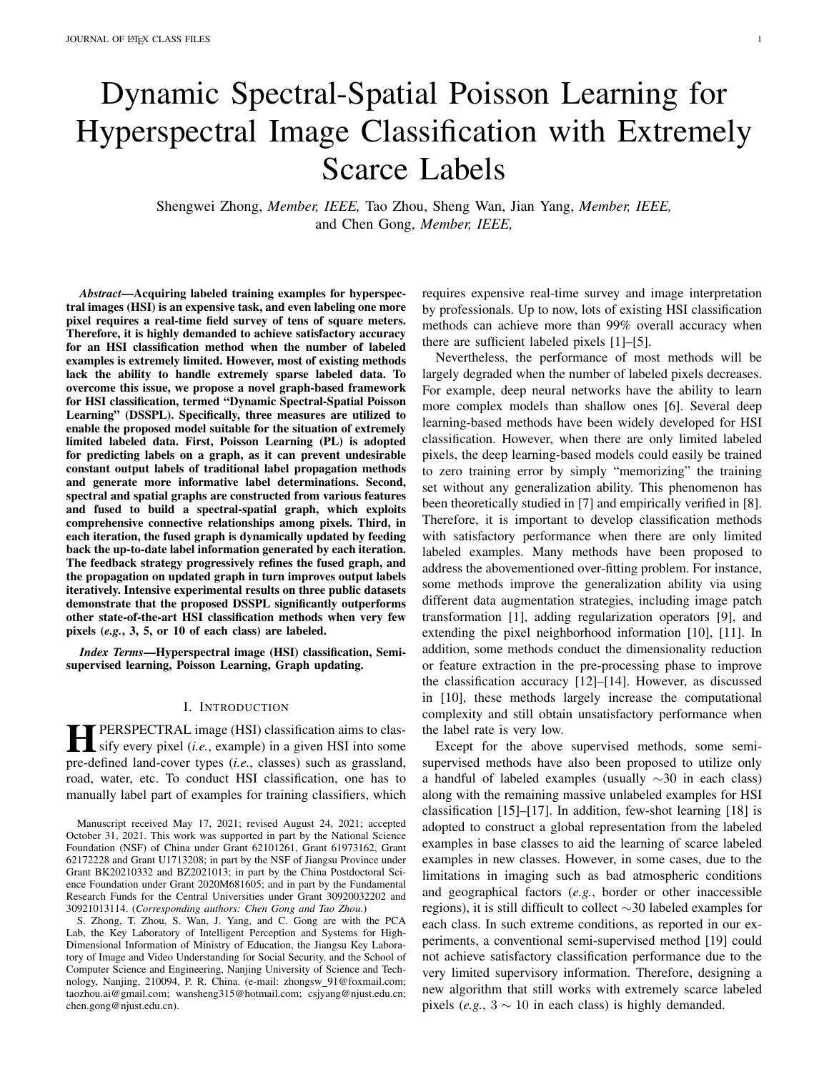# Dynamic Spectral-Spatial Poisson Learning for Hyperspectral Image Classification with Extremely Scarce Labels

Shengwei Zhong, *Member, IEEE,* Tao Zhou, Sheng Wan, Jian Yang, *Member, IEEE,* and Chen Gong, *Member, IEEE,*

*Abstract*—Acquiring labeled training examples for hyperspectral images (HSI) is an expensive task, and even labeling one more pixel requires a real-time field survey of tens of square meters. Therefore, it is highly demanded to achieve satisfactory accuracy for an HSI classification method when the number of labeled examples is extremely limited. However, most of existing methods lack the ability to handle extremely sparse labeled data. To overcome this issue, we propose a novel graph-based framework for HSI classification, termed "Dynamic Spectral-Spatial Poisson Learning" (DSSPL). Specifically, three measures are utilized to enable the proposed model suitable for the situation of extremely limited labeled data. First, Poisson Learning (PL) is adopted for predicting labels on a graph, as it can prevent undesirable constant output labels of traditional label propagation methods and generate more informative label determinations. Second, spectral and spatial graphs are constructed from various features and fused to build a spectral-spatial graph, which exploits comprehensive connective relationships among pixels. Third, in each iteration, the fused graph is dynamically updated by feeding back the up-to-date label information generated by each iteration. The feedback strategy progressively refines the fused graph, and the propagation on updated graph in turn improves output labels iteratively. Intensive experimental results on three public datasets demonstrate that the proposed DSSPL significantly outperforms other state-of-the-art HSI classification methods when very few pixels (*e.g.*, 3, 5, or 10 of each class) are labeled.

*Index Terms*—Hyperspectral image (HSI) classification, Semisupervised learning, Poisson Learning, Graph updating.

#### I. INTRODUCTION

**HERSPECTRAL** image (HSI) classification aims to classify every pixel (*i.e.*, example) in a given HSI into some and defined land accurations (*i.e.*, example) with an amorphism PERSPECTRAL image (HSI) classification aims to claspre-defined land-cover types (*i.e.*, classes) such as grassland, road, water, etc. To conduct HSI classification, one has to manually label part of examples for training classifiers, which

Manuscript received May 17, 2021; revised August 24, 2021; accepted October 31, 2021. This work was supported in part by the National Science Foundation (NSF) of China under Grant 62101261, Grant 61973162, Grant 62172228 and Grant U1713208; in part by the NSF of Jiangsu Province under Grant BK20210332 and BZ2021013; in part by the China Postdoctoral Science Foundation under Grant 2020M681605; and in part by the Fundamental Research Funds for the Central Universities under Grant 30920032202 and 30921013114. (*Corresponding authors: Chen Gong and Tao Zhou*.)

S. Zhong, T. Zhou, S. Wan, J. Yang, and C. Gong are with the PCA Lab, the Key Laboratory of Intelligent Perception and Systems for High-Dimensional Information of Ministry of Education, the Jiangsu Key Laboratory of Image and Video Understanding for Social Security, and the School of Computer Science and Engineering, Nanjing University of Science and Technology, Nanjing, 210094, P. R. China. (e-mail: zhongsw\_91@foxmail.com; taozhou.ai@gmail.com; wansheng315@hotmail.com; csjyang@njust.edu.cn; chen.gong@njust.edu.cn).

requires expensive real-time survey and image interpretation by professionals. Up to now, lots of existing HSI classification methods can achieve more than 99% overall accuracy when there are sufficient labeled pixels [1]–[5].

Nevertheless, the performance of most methods will be largely degraded when the number of labeled pixels decreases. For example, deep neural networks have the ability to learn more complex models than shallow ones [6]. Several deep learning-based methods have been widely developed for HSI classification. However, when there are only limited labeled pixels, the deep learning-based models could easily be trained to zero training error by simply "memorizing" the training set without any generalization ability. This phenomenon has been theoretically studied in [7] and empirically verified in [8]. Therefore, it is important to develop classification methods with satisfactory performance when there are only limited labeled examples. Many methods have been proposed to address the abovementioned over-fitting problem. For instance, some methods improve the generalization ability via using different data augmentation strategies, including image patch transformation [1], adding regularization operators [9], and extending the pixel neighborhood information [10], [11]. In addition, some methods conduct the dimensionality reduction or feature extraction in the pre-processing phase to improve the classification accuracy [12]–[14]. However, as discussed in [10], these methods largely increase the computational complexity and still obtain unsatisfactory performance when the label rate is very low.

Except for the above supervised methods, some semisupervised methods have also been proposed to utilize only a handful of labeled examples (usually ∼30 in each class) along with the remaining massive unlabeled examples for HSI classification [15]–[17]. In addition, few-shot learning [18] is adopted to construct a global representation from the labeled examples in base classes to aid the learning of scarce labeled examples in new classes. However, in some cases, due to the limitations in imaging such as bad atmospheric conditions and geographical factors (*e.g.*, border or other inaccessible regions), it is still difficult to collect ∼30 labeled examples for each class. In such extreme conditions, as reported in our experiments, a conventional semi-supervised method [19] could not achieve satisfactory classification performance due to the very limited supervisory information. Therefore, designing a new algorithm that still works with extremely scarce labeled pixels (*e.g.*,  $3 \sim 10$  in each class) is highly demanded.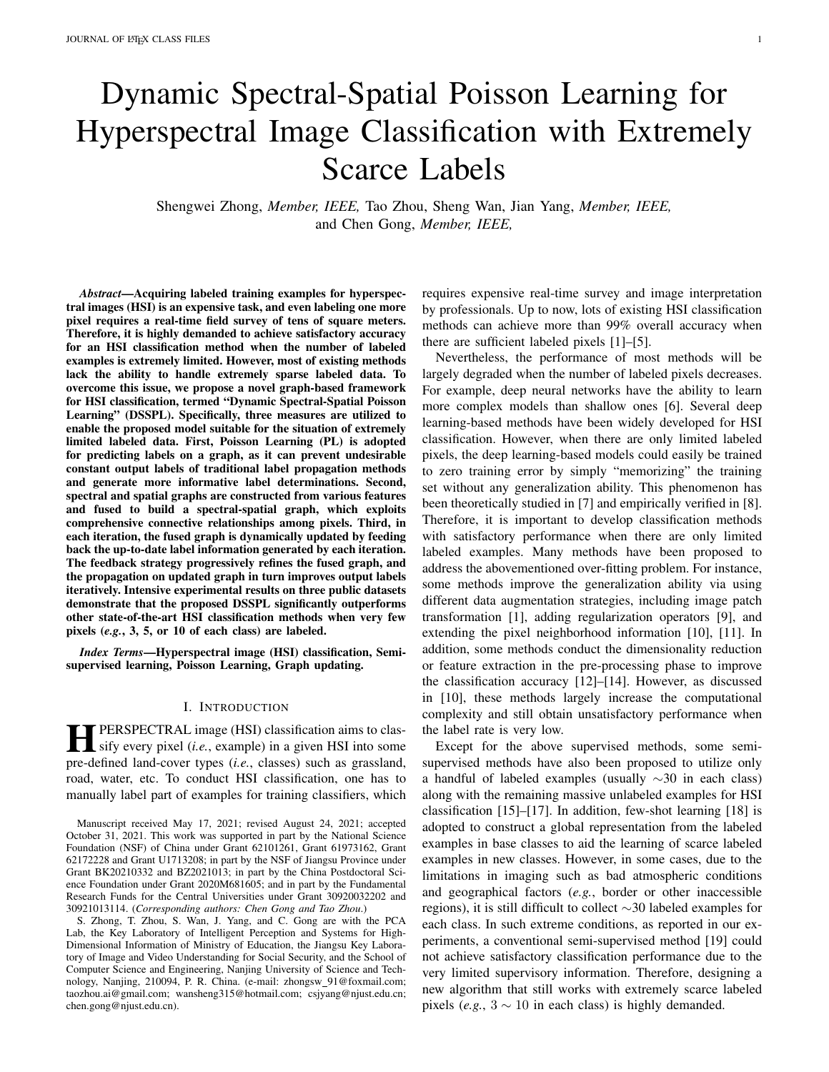Currently, graph-based semi-supervised methods [15]–[17] have widely been applied in solving the issue of small-sized labeled data. Among them, the examples are represented by graph nodes, and the label information is propagated from the labeled nodes to the unlabeled ones via graph edges under the regularization of graph smoothness. However, traditional semi-supervised methods still face two main challenges at extremely low label rates. The first challenge is that traditional propagation algorithms degenerate at an extremely low label rate [20], [21]. The second one is that graph propagation is usually conducted on a single and fixed graph [15], [16]. To solve the above challenges, in this paper we propose a graphbased "Dynamic Spectral-Spatial Poisson Learning" (DSSPL) algorithm. Specifically, DSSPL includes three novel procedures to fully exploit the very limited supervisory information, which are:

- 1) Poisson Learning (PL) [22] is employed for propagating labels on graphs. In the situation of scarce labeled examples, traditional Laplace equation based label propagation methods [15], [17], [19] will produce an almost constant solution, so the "propagation power" of scarce labels is quite limited, leading to nearly constant label values on unlabeled examples with sharp spikes at the labeled examples. To address this issue, PL is utilized as it can remove average label values and center the labels of all examples at zero when conducting label propagation. Therefore, the propagation power is strengthened and unlabeled examples can receive proper label assignments.
- 2) Spectral and spatial graphs are constructed and then fused in the iterative label propagation procedure. Specifically, DSSPL constructs two different graphs according to the spectral and spatial feature similarities of HSI. As a sequel, the global and local connective relationships among pixels can be fully exploited, and then the two graphs are fused according to the label propagation results in each iteration.
- 3) A feedback strategy is proposed by our DSSPL to dynamically update the fused graph according to the label information generated by each iteration. Specifically, due to the extremely limited labeled examples, the similarities between pairwise examples revealed by the initial graph are inaccurate for classifying unlabeled examples. Consequently, DSSPL refines the graph by strengthening the correlation among examples with similar labels in a feedback way, and the updated graph in turn improves the label propagation results. Thus graph refinement and label determinations reinforce each other iteratively and make up for insufficient supervisory information.

In summary, our DSSPL adapts to the small-sized training example problem by employing the PL scheme, fusing the spatial and spectral graphs, and designing a feedback strategy for graph updating.

The remainder of this paper is organized as follows: The related works on HSI classification are briefly reviewed in Section II. Section III describes the details of the proposed DSSPL and explains the key procedures including graph construction, spectral-spatial graph fusion, and dynamic graph updating with feedback. Section IV computes the time complexity of the proposed DSSPL. In Section V, the experimental results of DSSPL are shown when compared with seven representative HSI classification methods on three public HSI datasets. Finally, Section VI concludes the entire paper.

#### II. RELATED WORKS

In this section, we briefly review existing methods for solving the small-sized labeled examples problem in HSI classification, and introduce the typical learning algorithms on graph.

#### *A. Small-Sized Example Problem in HSI Classification*

There are two main groups of methods proposed to handle the situation where only limited training examples are available for HSI classification, namely graph-based and pseudo labeling methods.

Graph-based methods usually follow the semi-supervised paradigm. Camp-Valls *et al.* [23] firstly introduced graphbased semi-supervised learning into HSI classification, which assigns relative importance values to the labeled examples by using a kernel-based graph. To avoid the inference of data noise, researchers constructed sparse graphs [24], [25] to select more discriminative neighbors in the feature space. In addition, graph construction was improved by graph fusion and hypergraph construction methods [26], [27]. For instance, Liao *et al.* [26] proposed a local graph-based fusion method to integrate spectral and spatial graphs, which yields a clear improvement over the prior approaches. Liu *et al.* [27] adopted low-rank representation to represent HSI data and constructed a hypergraph model to effectively capture high-order relationships among examples. However, most of the above methods focus on extracting effective features from HSIs based on fixed graphs, which do not contain a graph updating procedure to further improve HSI classification performance.

Pseudo labeling has also been used for addressing the small-sized labeled data problem. For example, considering the fact that deep learning methods generally require a large number of labeled examples, Wu *et al.* [28] proposed a deep convolutional recurrent neural networks by using the pseudo labels for HSI classification. To extract pseudo labels with high quality, a constrained Dirichlet process mixture model was proposed, and then the network was pre-trained using pseudo labels and fine-tuned on limited labeled examples. Besides, Sellars *et al.* [29] proposed a graph-based learning method with superpixel-based pseudo labeling for HSI classification with a low label rate. The main concept is that the pixels belonging to the same superpixel may share the same labels with a high probability, therefore pseudo labels were decided according to image segmentation results, and graphbased learning was then conducted for final classification. However, inaccurate pseudo labels will cause an accumulation of classification error, and thus the labels should be carefully decided.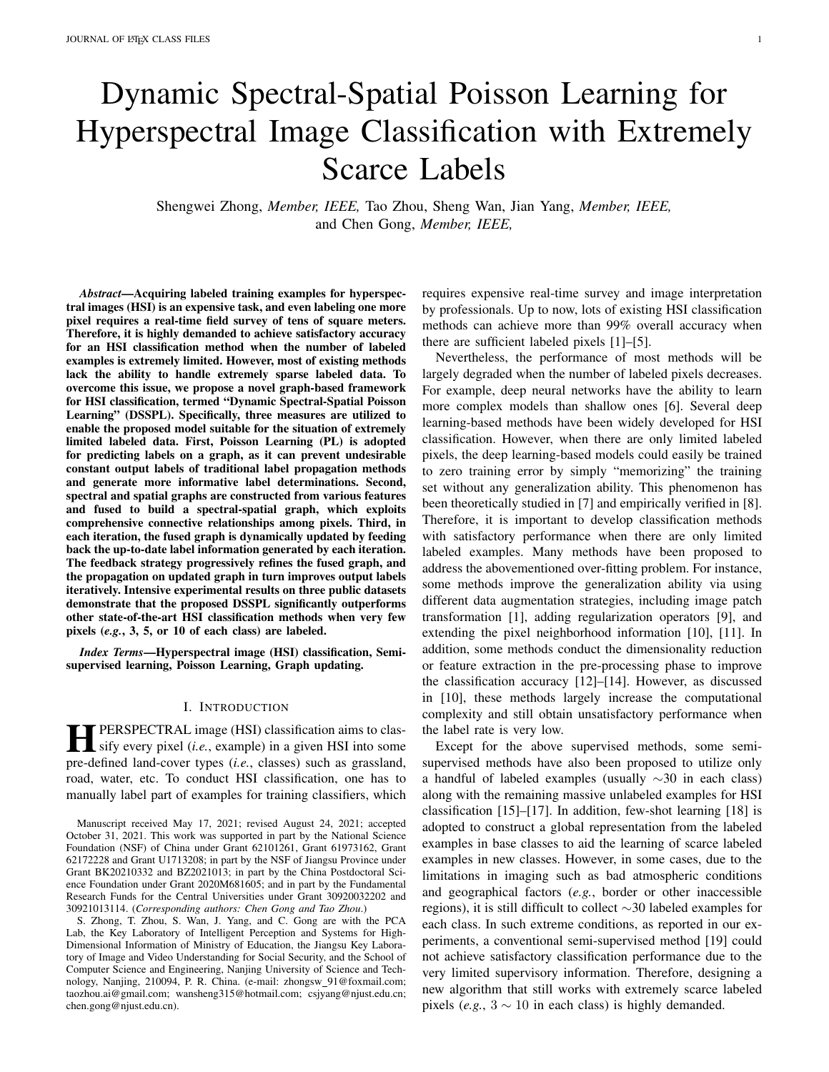

Fig. 1. The framework of our proposed DSSPL. (a) represents superpixels segmented on the original HSI. (b) denotes the construction of spectral and spatial graphs based on three features extracted from superpixels. In the iteration process, (c) and (d) constitute an iterative process, where (c) updates the fused graph by combining spectral and spatial graphs according to the updated labels in a feedback way, and (d) represents the Poisson Learning process for label propagation on the fused graph.

#### *B. Learning on Graphs*

Graph theory has been utilized to solve various machine learning problems, such as classification [30]–[32], clustering [33], and dimension reduction [34]. Due to the ability to represent data manifold and encoding pairwise similarities between examples, graph-based label propagation is a common strategy to solve semi-supervised learning problems. In this case, labels from scarce labeled data are propagated to unlabeled ones over a graph [35].

There are several algorithms proposed for single graph input such as Gaussian Field and Harmonic Functions (GFHF) [19] and Flexible Manifold Embedding (FME) [36]. To handle ambiguous examples, Gong *et al.* [37] introduced a local smoothness term called deformed graph Laplacian, which effectively prevented erroneous label propagation by suppressing the labels of ambiguous examples. A Teaching-to-Learn and Learning-to-Teach label propagation strategy was then proposed in [38], where label propagation was conducted from simple examples to more difficult ones to avoid tackling ambiguous examples in the primary propagation stage. In addition, lots of graph-based neural networks were also proposed for classification on graph nodes. For example, Gori *et al.* [39] first introduced the concept of Graph Neural Network (GNN), which can aggregate the node features in a graph and properly embed the entire graph in a new discriminative space. Bruna *et al.* [40] proposed graph-based analogues of convolutional architectures, called Graph Convolutional Network (GCN), which reduced the number of parameters in GNN without worsening the testing error. Afterwards, a lot of modification methods of GCN were proposed, such as [41]– [43]. In [44], a GCN model is constructed using the multilayer convolutional features extracted by a pre-trained CNN, which can mine the CNN-GCN contextual information from hyperspectral image patches.

Moreover, due to the fact that a single graph cannot handle the data with multiple types of features, several multigraph fusion methods are proposed to handle the multi-view data and improve the classification result. For example, an adaptive multi-modal graph fusion method was proposed by Cai *et al.* [45], which integrates heterogeneous visual features by learning a commonly shared class indicator matrix and graph weights simultaneously. Karasuyama *et al.* [46] proposed a linear combination method of multiple graphs with sparse weights, in which the sparse weights are beneficial for eliminating irrelevant graphs and identify important ones. In [47], [48], curriculum learning was employed for multimodal learning. Specifically, each modality is associated with a "teacher", and all the teachers cooperate with each other to establish an accurate curriculum sequence and improve label propagation quality. These multiple graph-based learning methods have been proved to outperform the learning approaches on a single graph. In our proposed DSSPL, a graph fusion process is implemented from the spectral and spatial graphs for HSI classification, and the fusion guides the label propagation process, forming a unified framework that iteratively refines pixel labels and updates the fused graphs.

# III. THE PROPOSED METHOD

This section provides the details of our proposed DSSPL method. Fig. 1 presents the overall diagram of DSSPL, which consists of four stages. Firstly, the original HSI is oversegmented to a certain amount of compact small regions (Section III-A). Secondly, the spectral graph and spatial graph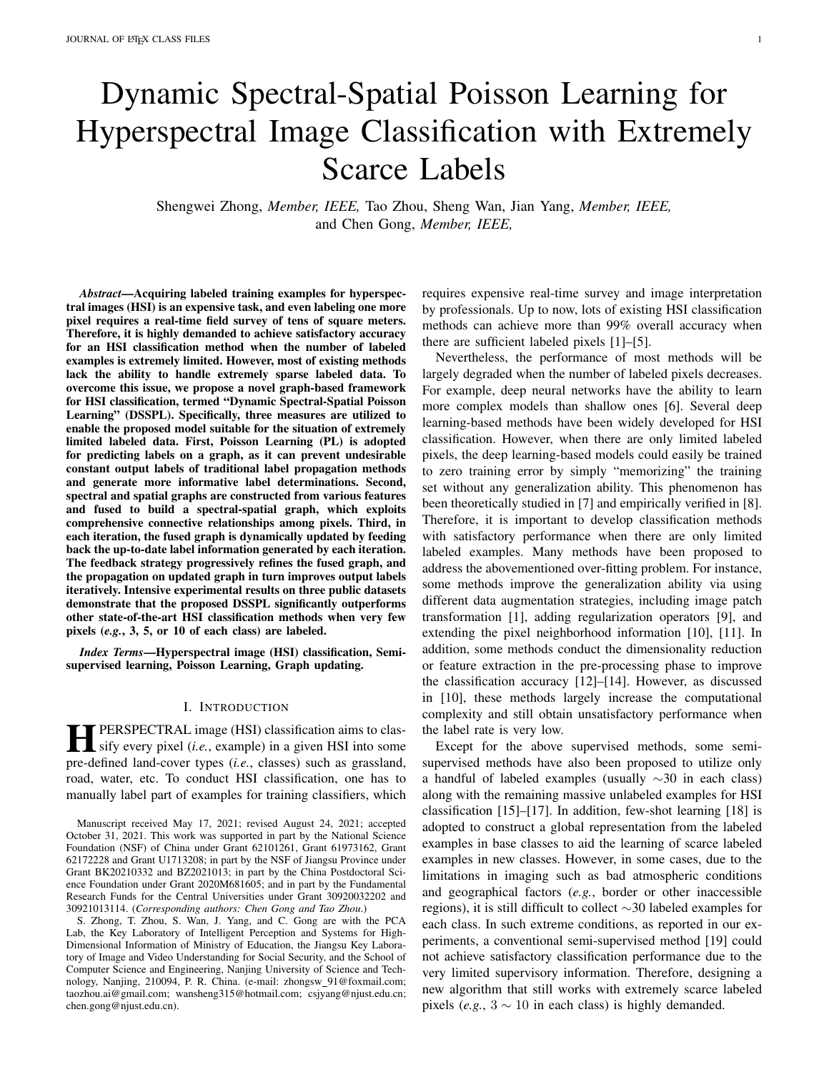are respectively constructed based on different features (Section III-B). Thirdly, PL is exploited for label propagation on a graph with scarce labeled examples (Section III-C). Finally, spectral graph and spatial graph are fused and updated according to a feedback strategy (Section III-D). These two stages of label propagation and graph updating alternate and compose an iterative process, which is the core component of our DSSPL.

# *A. Superpixel Generation*

First of all, a segmentation process is conducted on the original HSI to generate compact image regions (a.k.a. superpixels), in which Simple Linear Iterative Clustering (SLIC) [49] is adopted to produce homogeneous regions containing spatial neighboring pixels with very similar spectral features. SLIC initializes cluster centers by sampling pixels at a regular grid, then repeatedly assigns pixels to the best matching centers and computes new cluster centers. After segmentation, each superpixel is regarded as a graph node, and the features of the superpixels are extracted for graph construction. In this way, the number of graph nodes can be largely reduced, and thus the heavy computational burden is alleviated. It should be noted that if one superpixel contains the most pixels belonging to a certain class, then this class label is assigned to the whole superpixel. In HSI classification, image segmentation has been proved to produce better classification maps than directly using raw HSI data [50], [51].

# *B. Graph Construction*

After superpixel generation on an HSI, N superpixels are obtained which are denoted by  $\{S_i\}_{i=1}^N$ . Each superpixel  $S_i$ contains  $n_i$  pixels. The spectral feature of the *j*-th pixel in  $S_i$ is denoted as  $x_{ij}$ , which is the original spectral reflectance of each pixel in the raw HSI data. The position of the  $j$ -th pixel is denoted as  $p_{ij}$   $(j = 1, 2, \dots, n_i)$ . For each superpixel  $S_i$ , its local spectral feature  $f_j^{spec}$ , spatial location feature  $f_j^{spat}$ , and contextual spectral feature  $f_i^c$  are extracted by deploying the mean of spectral features, mean of pixel locations, and weighted combination of neighbor spectral features [29], [52], which are:  $\beta$ 

$$
\sum_{i=1}^{n} f_{i}^{spec} = \frac{1}{n_{i}} \frac{\chi_{ij}}{j_{j-1}} \chi_{ij};
$$
\n
$$
\sum_{i=1}^{n} f_{i}^{spat} = \frac{1}{n_{i}} \frac{\chi_{ij}}{\chi_{j-1}} \mathbf{p}_{ij};
$$
\n
$$
\sum_{i=1}^{n} f_{i}^{ce} = \frac{1}{s_{i}} \frac{\chi_{ij}}{\chi_{ij}^{spat}(s_{i})} \chi_{ij}^{spat}(s_{i})}
$$
\n(1)

where  $\mathcal{N}^{spat}(S_i)$  denotes the set containing all the adjacent superpixels of  $S_i$ , and  $f_i^{spec}$ ,  $f_i^{spat}$  and  $f_i^c$  are column vectors. The coefficient  $i_j$  is defined according to the distance between the spatial location features of superpixels  $S_i$  and  $S_j$ , which is computed by:

$$
ij = \frac{\exp(-\int_{i}^{spat} - \int_{j}^{spat} \epsilon^{2})}{S_{j} \, 2N^{spat}(S_{i}) \exp(-\int_{i}^{spat} - \int_{j}^{spat} \epsilon^{2})}.
$$
 (2)

Then the complete feature vector  $f_i$  characterizing  $S_i$  is obtained by cascading the above features, namely:

$$
\mathbf{f}_i = [\mathbf{f}_i^{spec}; \mathbf{f}_i^{spat}; \mathbf{f}_i^c] \tag{3}
$$

where " $[\cdot; \cdot; \cdot]$ " denotes the operation of vector concatenation in column. After feature normalization, the similarity between the two superpixels  $S_i$  and  $S_i$  can be expressed as:

$$
w_{ij} = \exp \ -4 \left\| \mathbf{f}_i - \mathbf{f}_j \right\|^2 = d(\mathbf{f}_i; \mathcal{N}_k(S_i))^2 \quad ; \tag{4}
$$

where  $d(f_i; \mathcal{N}_k(S_i))$  is the Euclidean distance between  $f_i$  and the feature vector of the  $k$ -th nearest neighbor of  $S_i$ . It is noteworthy that  $f_j^{spec}$  and  $f_j^{spat}$  are both "inner-superpixel" features, while  $f_i^c$  is an "intra-superpixel" feature. To summarize, the similarity  $W_{ij}$  is measured based on a synthetic evaluation of spectral consistency, spatial distance, and similarity of adjacent superpixels.

Afterwards, two k-Nearest Neighbors (k-NN) graphs are constructed by utilizing the above similarity. Specifically, k-NN can be viewed from the perspective of either spatial distance or spectral distance. These two perspectives respectively induce spectral graph and spatial graph defined as  $\mathcal{G}^{spec} = (\mathcal{V} \times \mathcal{E}^{spec})$  and  $\mathcal{G}^{spat} = (\mathcal{V} \times \mathcal{E}^{spat})$ , where V and  $E$  are the sets of nodes and edges accordingly. It is noted that in our proposed DSSPL,  $G^{spec}$  and  $G^{spat}$  share the same set of nodes, namely  $V = \{S_1; S_2; \dots; S_N\}$ , but  $\mathcal{E}^{spec}$  and  $\mathcal{E}^{spat}$  are different, as they correspond to the spectral and spatial connective relationship among superpixels. The two graphs  $G^{spec}$  and  $G^{spat}$  are represented by the adjacency matrices  $W^{spec}$  and  $W^{spat}$ , respectively, in which the  $(i, j)$ -th elements in them are respectively expressed as:

$$
w_{ij}^{Spec} = \begin{cases} w_{ij} \text{; if } S_i \in \mathcal{N}^{spec}(S_j) \text{ or } S_j \in \mathcal{N}^{spec}(S_i) \\ 0 \text{; otherwise} \end{cases} (5)
$$
  
\n
$$
w_{ij}^{spat} = \begin{cases} w_{ij} \text{; if } S_i \in \mathcal{N}^{spat}(S_j) \text{ or } S_j \in \mathcal{N}^{spat}(S_i) \\ 0 \text{; otherwise} \end{cases} (6)
$$

where spectral neighbor set 
$$
\mathcal{N}^{spec}(S_i)
$$
 contains  $k$  nearest neighbors regarding spectral features. According to [22],  $k$ 

neighbors regarding spectral features. According to [22], k is set to 10 in DSSPL. As shown in Fig. 1, the two graphs  $\mathcal{G}^{spec}$  and  $\mathcal{G}^{spat}$  are dynamically fused according to the learned labels in each iteration. It is worth noting that the iterative process initializes with  $\mathcal{G}^{spat}$  for label propagation.

#### *C. Poisson Learning*

After the initial graph of HSI  $(i.e., S<sup>spat</sup>)$  is acquired, PL is applied to handle the extremely limited labels on the graph. Most of the existing approaches are not specifically designed for the classification on an extremely low label rate, so their performance in this situation largely deteriorates. In contrast, PL explores the degeneration process of label propagation when there are very few labeled examples, and deploys a specific strategy to optimize the classifier. Considering a graph with  $N$  nodes including  $m$  labeled nodes across c classes, let the label matrix dubbed as  $Y^N$  c =  $(y_1; \ldots; y_m; y_{m+1}; \ldots; y_N)^>$ , in which the first m column vectors represent the labels of  $m$  labeled nodes. Besides, in the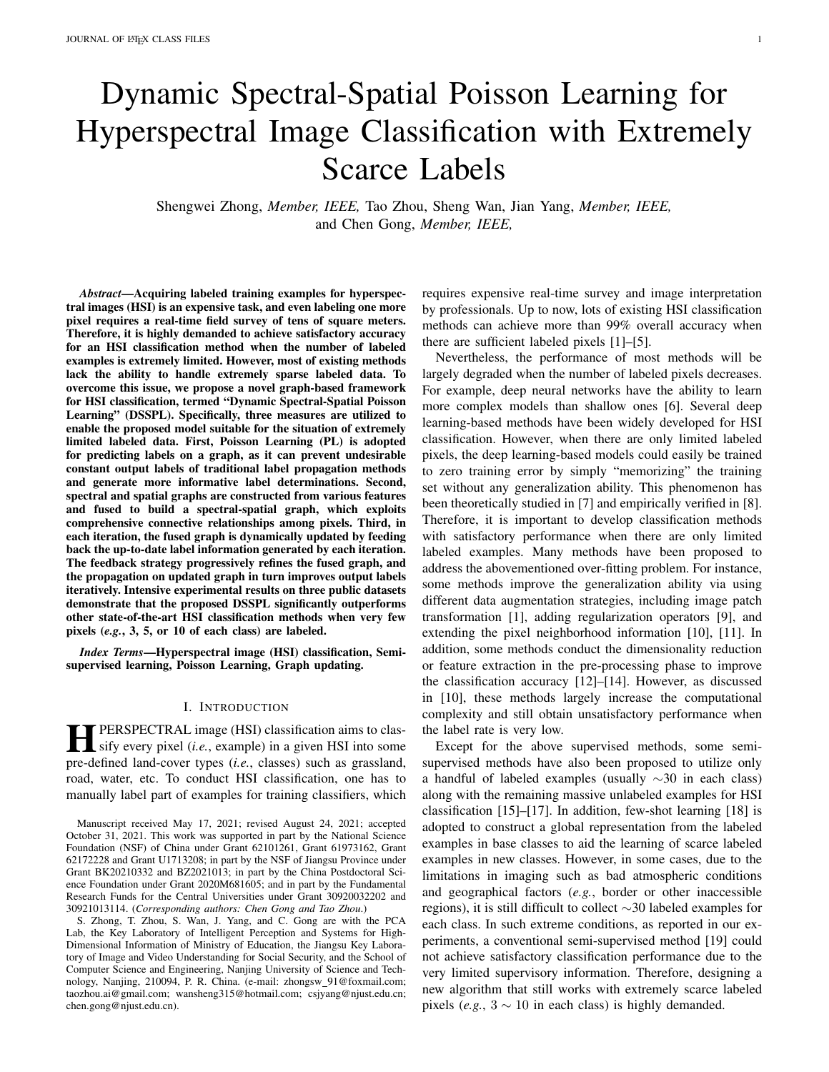initial label matrix  $Y^{(0)}$  for propagation, the  $(i, j)$ -th element is expressed by

$$
(\mathbf{Y}^{(0)})_{ij} = y_{ij} = \begin{cases} 1; \text{ if } 1 \le i \le m \text{ and } S_i \in \text{class } j \\ 0; \text{ otherwise} \end{cases} (7)
$$

In this study, we use a classical label propagation method, namely GFHF [19], to conduct label propagation. Thus, it needs to solve the following problem:

$$
u(S_i) = y_i; i = 1; 2; \dots; m
$$
  
\n
$$
\mathcal{L}(u(S_i)) = 0; i = 1; \dots; N
$$
 (8)

where  $U$  is the mapping function for each graph node, and the unnormalized graph Laplacian operator  $\mathcal L$  is given by

$$
\mathcal{L}(u(S_i)) = \frac{\mathcal{N}}{j=1} w_{ij} (u(S_i) - u(S_j))^2
$$
 (9)

Although the above Laplacian equation-based GFHF has been widely used for semi-supervised learning, its performance dramatically decreases when the label rate is extremely low [20], [21]. The main reasons can be explained from the following two aspects:

1) *Theoretical proof* : Nadler *et al.* [53] presented a theoretical study of Laplacian equation-based label propagation on a high-dimensional graph model. Let the margin density  $p(S)$ be an unknown smooth density on a compact domain  $! \subset \mathbb{R}^d$ and  $d \geq 2$ . For  $N \to \infty$ , there exist continuous functions  $u(S)$  satisfying the constraints in Eq. (8), but  $u(S) \longrightarrow c$  for all  $S_i$ ;  $i = (N - m)$ ; :::; N, in which c is a constant. This theorem implicates that as the number of unlabeled examples increases, the solution of Eq. (8) has the form of an almost everywhere constant function, leading to an inaccurate label propagation.

2) *Random walk interpretation*: A more intuitive way of the issues with Laplacian learning at a low label rate comes from the interpretation of random walk, which also leads to the original concept of Poisson Learning [22]. We release random walkers from labeled nodes and let them explore the graph with the transition probabilities from the  $j$ -th node to  $i$ -th node, which can be expressed as:

$$
\mathbb{P}(X_k^j = S_i | X_{k-1}^j = S_j) = d_j^{-1} w_{ij};
$$
 (10)

where  $d_j$  is the degree of the *j*-th node with  $d_j = \int_{i=1}^{N} W_{ij}$ , and  $X_k^j$  denotes the position of the random walker released from the  $j$ -th labeled node in the  $k$ -th iteration. Each random walker  $\overline{X_k^j}$  carries its label information  $y_j$  when exploring the graph. Then the solution of Eq. (8) could be described by the expectation of the labels  $y_j$  of all the  $X_k^j$  that visit  $S_i$  with  $0 \leq k \leq t$  and  $1 \leq j \leq m$ , which is [54]:

$$
u_t^{\mathcal{L}}(S_i) = \sum_{k=0}^{\chi t} \sum_{j=1}^{\chi n} \mathbf{y}_j \mathbb{P}(\mathbf{X}_k^j = S_i)
$$
 (11)

When there are enough labeled nodes, the random walkers with label information could reach all the nodes in a short time. However, when there are very few labeled nodes, it takes a long time for a few random walkers to traverse every node in the graph. It is also worth noting that if the walking takes much time, the distribution of  $X_k^j$  is very close to an invariant distribution:

$$
\lim_{k \to -j} \mathbb{P}(X_k^j = S_i) = \frac{d_i}{\sum_{i=1}^N d_i}.
$$
 (12)

In this case, the above solution records a blind average of existing labels, which is [22]:

$$
\chi_{j=1}^{\chi_{j}} \mathbf{y}_{j} \mathbb{P}(\mathbf{X}_{k}^{j} = S_{j}) \approx \frac{d_{i}}{\sum_{i=1}^{N} d_{i}} \sum_{j=1}^{\chi_{i}} \mathbf{y}_{j}.
$$
 (13)

This suggests that when the walking time is too large, the solution of Laplace equation does not depend on the structure of a graph but only reflects a blind average of labels. As a result, Laplace equation-based GFHF returns almost identical labels for all unlabeled nodes, which conveys very little useful class information.

To address the above problem, PL is utilized to replace the Laplace equation (as in Eq. (8)) with the following Poisson equation:

$$
\mathcal{L}(u(S_i)) = \frac{\chi^n}{j=1} (\mathbf{y}_j - \mathbf{\bar{y}}) \quad \text{if} \quad i = 1; 2; \ldots; N; \qquad (14)
$$

where  $\int_{i=1}^{n} d_i u(\xi) = 0$ . The average label vector **y** is defined as  $\overline{\mathbf{y}} = \frac{1}{m} \int_{j=1}^{m} \mathbf{y}_j$ , and  $\mathbf{y}_j$  is 1 if and only if  $i = j$ . The Poisson equation is also solved from the view of random walk. Based on Eq. (11), PL proposes to subtract off the tail behavior from  $u_t(S_i)$  to avoid the solution dominated by the average of labels. Meanwhile, PL normalizes  $u_t(S_i)$  by  $d_i$ , which achieves the process by:

$$
u_t(S_i) = \frac{1}{d_i} \frac{\times^t \times^n}{\times_{k=0}} (y_j - \overline{y}) \mathbb{P}(\mathcal{X}_{k}^j = S_i).
$$
 (15)

Considering the transition probability of random walkers, we have

$$
\begin{aligned}\n&\times t & \times r \\
&\quad (y_j - \bar{y}) \mathbb{P}(X_{k+1}^j = S_i) \\
& \times t & \times r \\
& \quad (y_j - \bar{y}) & \quad \frac{w_{ij}}{d_j} \mathbb{P}(X_k^j = S_i) \\
& \quad = \sum_{j=1}^N \frac{w_{ij}}{d_j} u_{\mathcal{T}}(S_j).\n\end{aligned}
$$
\n(16)

Therefore,  $u_{t+1}(S_i)$  can be expressed by  $u_t(S_i)$  as:

$$
u_{t+1}(S_i) = d_i \bigg|_{k=0}^{x+1} \frac{x^{\gamma}}{(y_j - \bar{y}) \mathbb{P}(X_k^j = S_i)}
$$
  
\n
$$
= d_i \bigg|_{j=1}^{x} (y_j - \bar{y})_{ij} + d_i \bigg|_{l=1}^{x} \frac{w_{il}}{d_i} u_t(S_i)
$$
  
\n
$$
= d_i \bigg|_{j=1}^{x} (y_j - \bar{y})_{ij} + u(S_i) - d_i \bigg|_{L(u_t(S_i))}^{2} u_t(S_i)
$$
  
\n
$$
= u_t(S_i) + d_i \bigg|_{j=1}^{x} (y_j - \bar{y})_{ij} - L(u_t(S_i)) + L(u_t(S_i)) + L(u_t(S_i)) + L(u_t(S_i)) + L(u_t(S_i)) + L(u_t(S_i)) + L(u_t(S_i)) + L(u_t(S_i)) + L(u_t(S_i)) + L(u_t(S_i)) + L(u_t(S_i)) + L(u_t(S_i)) + L(u_t(S_i)) + L(u_t(S_i)) + L(u_t(S_i)) + L(u_t(S_i)) + L(u_t(S_i)) + L(u_t(S_i)) + L(u_t(S_i)) + L(u_t(S_i)) + L(u_t(S_i)) + L(u_t(S_i)) + L(u_t(S_i)) + L(u_t(S_i)) + L(u_t(S_i)) + L(u_t(S_i)) + L(u_t(S_i)) + L(u_t(S_i)) + L(u_t(S_i)) + L(u_t(S_i)) + L(u_t(S_i)) + L(u_t(S_i)) + L(u_t(S_i)) + L(u_t(S_i)) + L(u_t(S_i)) + L(u_t(S_i)) + L(u_t(S_i)) + L(u_t(S_i)) + L(u_t(S_i)) + L(u_t(S_i)) + L(u_t(S_i)) + L(u_t(S_i)) + L(u_t(S_i)) + L(u_t(S_i)) + L(u_t(S_i)) + L(u_t(S_i)) + L(u_t(S_i)) + L(u_t(S_i)) + L(u_t(S_i)) + L(u_t(S_i)) + L(u_t(S_i)) + L(u_t(S_i)) + L(u_t(S_i)) + L(u_t(S_i)) + L(u_t(S_i)) + L(u_t(S_i)) + L(u_t(S_i)) + L(u_t(S_i)) + L(u_t(S_i)) + L(u_t(S_i)) + L(u_t(S_i)) + L(u_t(S_i)) + L(u_t(S_i)) + L(u_t(S_i)) + L(u_t(S_i)) + L(u_t(S_i)) + L(u_t(S_i)) + L(u_t(S_i)) + L(u_t(S_i)) + L(u_t(S_i)) + L(u_t(S_i)) + L(u_t(S_i)) + L(u_t(S_i)) + L(u_t(S_i)) + L(u_t(S_i
$$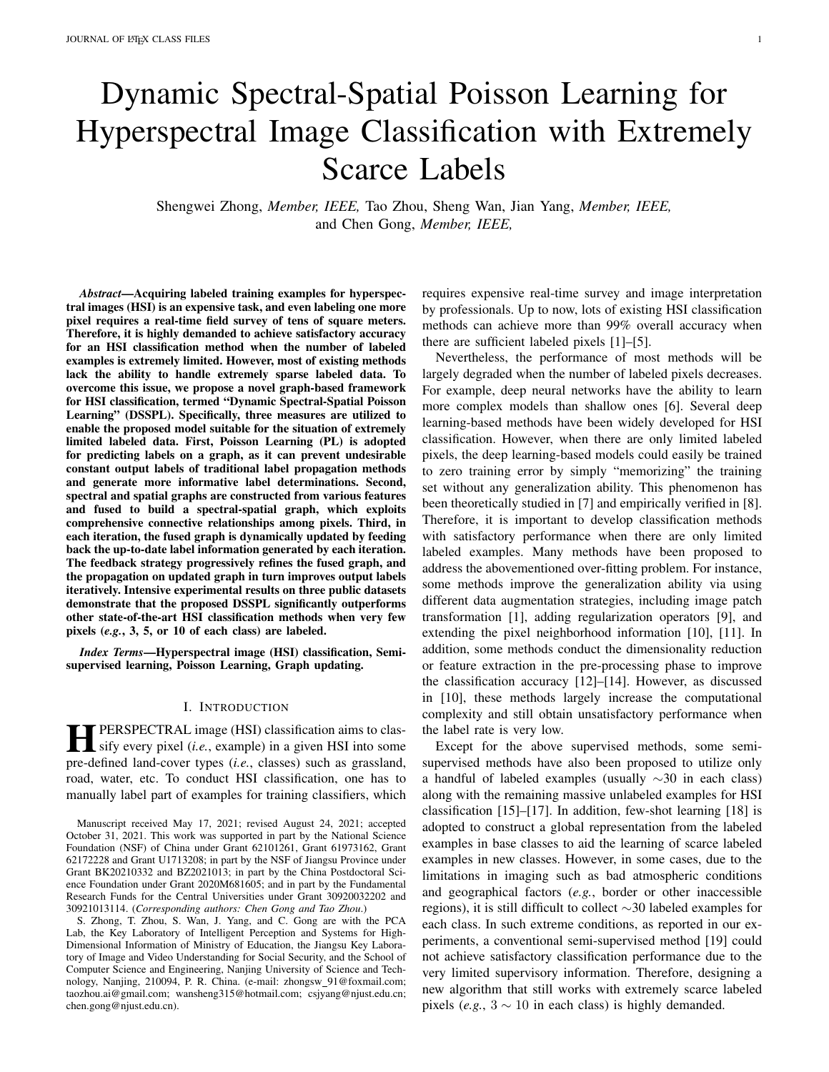It has been proved in [22] that when  $t \to \infty$ , we have  $u_t \to$  $U$  with  $U$  being the unique solution of the Poisson equation in Eq. (14). From Eq. (15) we can see that the solution of Poisson equation only records the short-time behavior of the random walkers, avoiding the interference of the shift bias caused by the long walking time. According to Eq. (17), the PL problem can be solved via an iterative process as:

$$
Y^{(t+1)} = Y^{(t)} + D^{-1}(B^{>} - (D - W)Y^{(t)}); \qquad (18)
$$

where  $B = [Y - 1^{N-1}\bar{y}^>]$ ;  $0^{C}$   $(N - m)$ ], and D is a diagonal degree matrix with  $D_{ij} = d_i$ .

# *D. Graph Updating via a Feedback Strategy*

The PL algorithm improves the performance of label propagation when there are only a few labeled examples available. However, PL only works on a fixed pre-established graph, which may not be accurate when the supervisory information is very limited. To alleviate the issue, we introduce a graph updating operation to timely extract and strengthen the supervisory information during the iteration process. In Section III-B,  $G^{spec}$ , and  $G^{spat}$  have been constructed, which record the spectral and spatial connection relationship among nodes. As introduced in Section III-B,  $G^{spec}$  and  $G^{spat}$  are both sparse graphs, which record the nearest neighbors of graph nodes in terms of spectral feature and spatial location. To synthetically capture the graph structure, a multi-graph fusion method is proposed. In the fusion strategy, the label propagation is modeled by multivariate Gaussian, and the individual graph distribution is modeled by using the Ising model [55]. Thus, the fusion parameter is estimated by maximizing the posterior probability of multi-graph under the condition of labels by Bayesian theory. The fused graph is denoted as  $\mathcal{G}^{SS} = (\mathcal{V} / \mathcal{E}^{SS})$  with the spectral-spatial adjacency matrix W<sup>ss</sup>. Moreover, the up-to-date labels are fed back to refine the graph for emphasizing the connection between nodes with similar label vectors. The details are explained as follows.

Firstly, the fusion of graphs is based on the assumption that the spectral-spatial adjacency matrix  $W^{ss}$  can be obtained by a linear combination of  $W^{spec}$  and  $W^{spat}$  [56], namely:

$$
\mathbf{W}^{ss} = (1 - )\mathbf{W}^{spec} + \mathbf{W}^{spat}.
$$
 (19)

where is a trade-off coefficient, and it is critical to decide the proper value of . Analogously, L<sup>ss</sup> is a linear combination of Laplacian matrices  $L^{spec}$  and  $L^{spat}$  as:

$$
\mathsf{L}^{ss} = (1 - \mathsf{L}^{\text{spec}} + \mathsf{L}^{\text{spat}}) \tag{20}
$$

According to [19], the propagation of label vector  $\hat{y_i}$  =  $(y_{1i}, y_{2i}; \ldots; y_{Ni})^>$  with  $i = 1; \ldots; c$  on each graph can be regarded as a Gaussian process, in which the covariance matrix equals to the corresponding Laplacian matrix. Based on our assumption that the adjacency matrix of fused graph is a linear combination of adjacency matrices of all individual graphs, the likelihood probability  $p(Y|W^{ss})$  can be written as

$$
p(\mathbf{Y}|\mathbf{W}^{SS}) \propto \exp \left(-\frac{1}{2}\sum_{i=1}^{\infty} \hat{\mathbf{y}}_i^>(\mathbf{L}^{SS} + \mathbf{I} = l^2)\hat{\mathbf{y}}_i\right)
$$
 (21)

where  $\mathsf{L}^{ss} + \mathsf{I} = l^2$  is the regularized Laplacian matrix with l being the regularization parameter, and I is an identity matrix. According to the classical Ising model [57], the prior probability of  $W^{ss}$  can then be expressed as:

$$
p(\mathbf{W}^{ss}) \propto \exp \frac{\propto}{(i:j)2E^{ss}} w_{ij}^{ss} \mathbf{y}_i^{\geq} \mathbf{y}_j^{\geq} \tag{22}
$$

where  $W_{ij}^{SS}$  is the  $(i, j)$ -th element of  $W^{SS}$ . To construct the model of graph fusion under the condition of specific labels, the posterior probability of  $W^{ss}$  can be computed according to the Bayesian theory as

$$
p(\mathbf{W}^{ss}|\mathbf{Y}) \propto p(\mathbf{W}^{ss})p(\mathbf{Y}|\mathbf{W}^{ss})
$$
  
\n
$$
\Rightarrow p(\mathbf{W}^{ss}_{\bigcirc}|\mathbf{Y}) \propto 1
$$
  
\n
$$
\times \qquad \qquad \times \qquad \qquad \mathbf{W}^{ss}_{ij}\mathbf{y}_{j} \mathbf{y}_{j} - \frac{1}{2} \sum_{i=1}^{K} \hat{\mathbf{y}}_{i}^{>} (\mathbf{L}^{ss} + \mathbf{I} = k^{2})\hat{\mathbf{y}}_{i} A
$$
  
\n
$$
\qquad (i,j) \, 2E^{ss}
$$
\n(23)

In each iteration, given the predicted label matrix  $Y$ , the optimal fused graph is supposed to show the highest posterior possibility in describing the labels. Consequently, the optimal can be obtained by solving the following problem:

$$
= \arg \max p(\mathbf{W}^{ss}|\mathbf{Y}). \tag{24}
$$

Therefore, the parameter varies according to the current propagation result, which leads to a dynamic spectral-spatial description on the investigated HSI with the highest posterior probability  $p(\mathbf{W}^{ss}|\mathbf{Y})$ .

Moreover, the spectral-spatial adjacency matrix  $W^{ss}$  is further improved by fusing the information extracted from the output labels in each iteration [58]. Specifically, the learned label matrix Y contains the information about class labels, and the correlation of these labels  $YY^>$  can be viewed as the similarity between data points in the label space. This correlation is fed back into the input adjacency matrix to emphasize the relationship among the nodes with high similarity, where the feedback process can be expressed as:

$$
\mathsf{W} = \mathsf{W}^{ss}(\mathsf{W}^{ss} + \mathsf{YY}^>) (\mathsf{W}^{ss})^> + 1; \qquad (25)
$$

where is a pre-defined nonnegative coefficient, and I is an identity matrix. Thus, the graph is refined by the output labels in the previous iteration and the refined graph in turn improves label propagation results in the next iteration. The implementation of DSSPL is summarized in Algorithm 1.

#### IV. COMPLEXITY ANALYSIS

In the iteration phase of our DSSPL, Eq. (24) can be solved by the linear programming with the computational complexity of  $\mathcal{O}(N^2)$  [59], where N is the number of graph nodes (*i.e.*, the number of superpixels). The update of the graph W in Eq. (25) can be accelerated using the sparsity of W, and thus the computational complexity is  $\mathcal{O}(kN^2)$  [60], where  $k$  is the number of nearest neighbors in adjacency matrices  $W^{spec}$  and  $W^{spat}$ . For the propagation of labels using PL via Eq. (18), the computational complexity is  $\mathcal{O}(N^2)$  [22]. To summarize, since the proposed DSSPL takes  $T$  iterations, the overall computational complexity is  $O(kT N^2)$ , where  $k \ll N$ and  $T \ll N$ .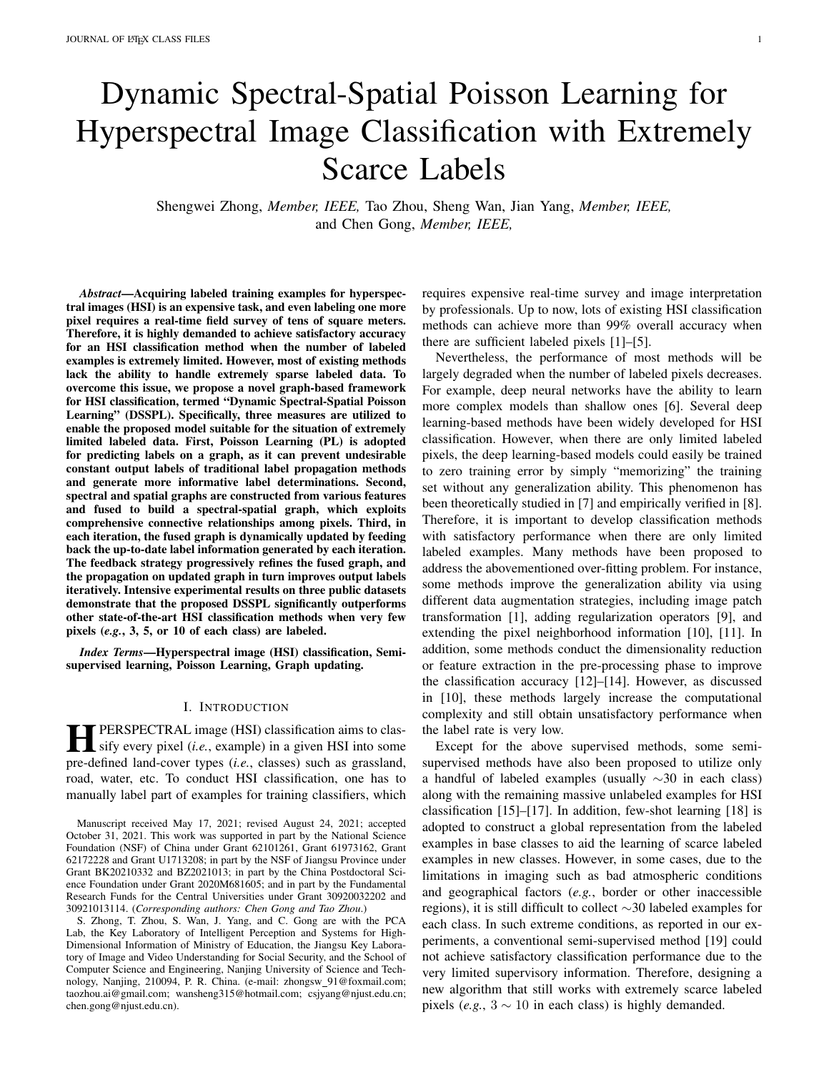# Algorithm 1 The Proposed DSSPL Algorithm

| Input: | Hyperspectral imaget; initial label matrix $Y^{(0)}$ ; |  |
|--------|--------------------------------------------------------|--|
|        | number of superpixelN; number of iterations ;          |  |

- 1: SegmentH into N superpixels  $S_i g_{i=1}^N$  via SLIC;
- 2: Construct the initialk-NN spectral graphW spec and initial k-NN spatial graphW<sup>spat</sup> via Eq. (5) and Eq. (6);
- 3: for  $t = 1$  to  $T$  do
- 4: Decide the value of via Eq. (24);
- 5: Update the fused spectral-spatial grames via Eq. (19);
- 6: UpdateW based on W<sup>ss</sup> and the feedback of posterior label correlation via Eq. (25);
- 7: Update degree matri $\mathbb{D}$ ;
- 8: Propagate labels using PL via Eq. (18);
- 9: Compute binary label vectors  $g_{i=1}^N$ ;
- 10: end for
- Output: Predicted label for each unlabeled pixel.

(a) Salinas scene (b) groundtruth map (c) classes by colors Fig. 3. Salinas dataset with 16 classes.

(a) Indian Pines scene (b) groundtruth map (c) classes by colors

Fig. 2. Indian Pines dataset with 16 classes.

(a) University of Pavia (b) ground-truth map (c) classes by colors scene

3) University of Pavia: This dataset captures the Pavia University of Italy with the ROSIS sensor. It consists of

Fig. 4. University of Pavia dataset with 9 classes.

# V. EXPERIMENTAL RESULTS AND DISCUSSIONS

In this section, we conduct experiments to show the effegor over the Salinas Valley, California, with a spatial resolution tiveness of the proposed model. We rst introduce the datasets 3.7 m per pixel and the spectral resolution of 10 nm. It has for our experiments as well as the experimental settings. Then<sub>size of</sub> 512 217 with 224 bands, consisting of 16 vegetation we provide the experimental results, parameter sensitivity service in the salinary concludes the experimental analysis, and ablation study. 2) Salinas: This dataset was collected by the AVIRIS senand the corresponding groundtruth class labels, respectively.

#### A. Datasets

Three real-world hyperspectral image datasetse, the Indian Pines, Salinas, and University of Pavia, are used with a spectral resolution of 4 nm (12 most noisy channels our experiments. The details of each dataset are provided<sub>w</sub>ase removed before experiments). Fig. 4 (a) shows the scene follows. 610 340 115 pixels with a spatial resolution of 1.3 m and a spectral coverage ranging from 0.43m to 0.86 m of the University of Pavia, and nine classes of interest are

1) Indian Pines: This is a well-known Airborne Visi-considered for this image as shown in Fig. 4 (b) and (c). ble/Infrared Imaging Spectrometer (AVIRIS) image dataset.

Figs. 2 (a)(b)(c) show the image data, the corresponding  $\epsilon$  xperimental Settings groundtruth, and class colors, respectively. The image was groundman, and class colors, respectively. The image wall to evaluate the performance of the proposed DSSPL, three<br>recorded in June 1992 from an area of mixed agriculture and ditional LICL algoei esting mathede, including recorded in edite 1992 Hoff an area of final agriculture of traditional HSI classi-cation methods, including SVM [61],<br>forestry in Northwestern Indiana, USA with the wavelength in FUF 500, and FU-500, are agreeded for aggr the range of 0.4 m to 2.5 m and spatial resolution of 20 m. It has the size of 45 145 pixels with 220 bands, in which began are appeared the proposed DSSPL with a method nds the size of 40 T40 pixels with 220 bands, in which based on spectral-spatial feature extraction, Fusion of<br>20 water absorption bands (bands 104-108 and 150-163, 220) attal Captial (FSS) [63] a linear regression based m were removed. GFHF [19], and PL [22], are employed for comparison. In Spectral-Spatial (FSS) [62], a linear regression-based method,

i.e., Superpixel-guided Training Sample Enlargement Distance

1All datasets are available at http://www.ehu.eus/ccwintco/index.php?title eighted Linear Regression (STSE-DWLR) [63], together HyperspectralRemote Sensing Scenes with a graph-based methode., Superpixel Graph Learning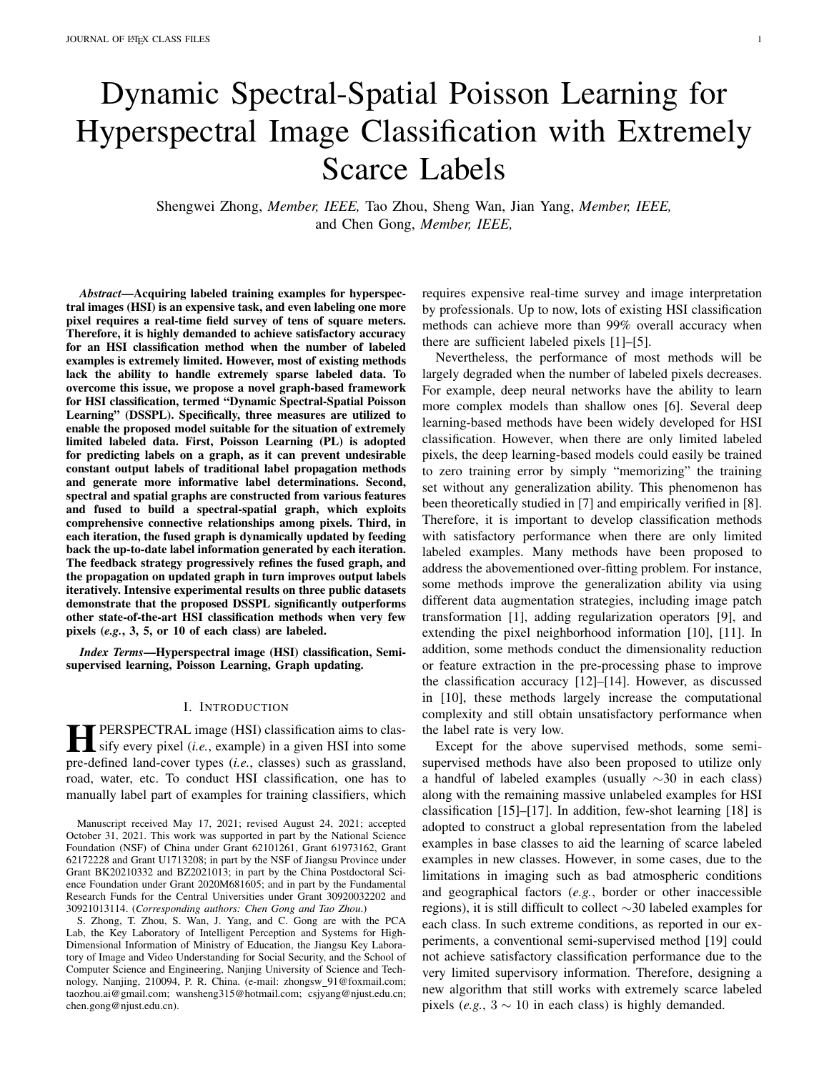TABLE I THE HYPERPARAMETER SETTINGS OF OUR SSPLON DIFFERENT DATASETS.

|                     | N    |     |      |
|---------------------|------|-----|------|
| <b>Indian Pines</b> | 1400 | 0.1 | 0.01 |
| Salinas             | 1400 | 0.1 | 0.1  |
| University of Pavia | 2200 | 0.1 | 0.01 |

in Table II. Speci cally, DSSPL improves the accuracies of the three classes, and the records are 70%, 78% and 85% correspondingly. For Class 15.4, "buildings"), it is worth noting that the accuracy is signi cantly improved, from 28% of SVM and 43% of CNN-PPF to 88% of DSSPL. Moreover, the Indian Pines dataset is a typical dataset with imbalanced classes. Speci cally, there are four classes with less than 100 examples,i.e., class 9 with 20 data points, class 7 with 28 data points, class 1 with 46 data points, and class 16 with

(SGL) [29]. It is worth noting that both STSE-DWLR and 93 data points. From Table IV, it can be noted that DSSPL SGL are designed for the limited label situation for HSI clasachieves more than 98% accuracy on all these four classes, si cation. Meanwhile, we also compare the proposed DSSP and obtains higher performance over other compared methods with a Convolutional Neural Network (CNN)-based methodn classes 1, 7, and 16. For class 9, DSSPL reaches more than i.e., deep CNN using Pixel-Pair Features (CNN-PPF) [10]. 99% accuracy, which is only slightly lower than SGL.

To comprehensively evaluate the performance of the pro-In the Salinas dataset, since the scene is simpler when posed method on a small number of labeled examples, difompared with the other two datasets, most of the compared ferent numbers of labeled pixels g, 3, 5, or 10) of each methods achieve more than 94% in terms of OA. In this case, class are randomly selected in our experiments. FurthermoDSSPL still outperforms other methods and improves AA, to validate the performance of our DSSPL on large size  $G/A$  and kappa by 0.52%, 0.45%, 0.49% when compared with labeled data, 30 labeled pixels of each class are also sele& GE\_DWLR, which performs the second best. Speci cally, in our experiment. We adopt four metrics for performand DSSPL achieves 11 best results out of a totally 16 classes. evaluation, including individual class accuracy, Average Ad-he Salinas dataset does not show an obvious imbalanced curacy (AA), Overall Accuracy (OA), and kappa coef cient.data issue, and the accuracies of DSSPL in all the classes In addition, classi cation maps are presented as a qualitatine larger than 90%, which proves the robustness of our demonstrations to further evaluate all the compared metho**p**soposed method. For Classes 8 and 15, which correspond to Due to the random selection of labeled examples, all methotsapes untrained" and "vinyard untrained", DSSPL improves are conducted ten times with different labeled pixels on eathe accuracies by more than 41% and 33% when compared dataset, and the mean accuracies and standard deviations witer SVM.

the ten implementations are reported. The hyperparameteDifferent from the Indian Pines and Salinas datasets, the settings of our DSSPL on each dataset are listed in Table legions of different classes are usually small fragments in

# C. Experimental Results and Analyses

the University of Pavia dataset, such as "buildings", "trees" and "roads". In this case, DSSPL still outperforms the second best method by 1.68%, 1.05%, and 6.21% on AA, OA and

1) Classi cation Results on Classesables II-IV tabulate kappa coef cient, respectively. It is worth noting that DSSPL the accuracies of each class, AAs, OAs, and kappa coeachieves 5 best results out of 9 classes. Speci cally, for Class cients produced by the eight classi cation methods on the (i.e., "tree"), the accuracies of other methods are all lower three datasets. The best result is highlighted in bold. Thean 65%, while DSSPL achieves more than 82% accuracy. classi cation maps of all these methods on the three datas&tnilar to the Salinas dataset, there are no particularly smallare visualized in Figs. 5-7, in which the areas with signi cansized classes, and our DSSPL shows the accuracies of more improvement by our DSSPL are marked via red or yellowhan 80% on all the classes, which implies the stability of the rectangles. From these comparison results, it can be obserpechosed DSSPL. Overall, the results demonstrate that DSSPL that our DSSPL obtains the best performance in terms of Aperforms the best among all compared approaches across OA and kappa among all the competitors. For instance, tine three datasets in the extremely limited labeled example terms of OA, our DSSPL achieves 4.49%, 0.45%, and 1.05% tuation.

improvements over the second best method on the Indian<sup>2</sup>) Impact of the Number of Labeled Examples investi-Pines, Salinas, and University of Pavia datasets, respectivedate the impact of the numbers of labeled examples, Table V

For the performance on individual classes on the Indianaports the OAs performance of the proposed DSSPL and Pines dataset, our DSSPL achieves the highest accuradies compared methods under different numbers, (3, 5, across 10 out of 16 classes when compared with other metto and 30) of labeled examples in each class. In the Indian ods. Speci cally, Classes 2, 3 and 4 represent the categor<del>id</del>ises dataset, since there are two classes that only contain less of "corn-notill", "corn-mintill" and "corn", respectively, in than 30 pixels, we instead select 15 pixels from these classes which the spectrum is quite similar with each other. For thes labeled examples. From the results, we can draw several presence of limited labeled examples, some methods neglebservations as follows:

the spatial correlation of pixels, such as SVM, thus they cannot obtain good performance. As a sequel, it is important to introduce spatial information to cooperate with limited spectral features, and this is the main reason that FSS and DSSPL can on the three datasets when there are 10 or fewer labeled obtain relatively high accuracies on the three classes, as shown pixels of each class. Although STSEWLR achieves the The performance  $i.e.,$  OAs) of all methods can be improved by increasing the number of labeled examples. Our DSSPL outperforms most of the compared methods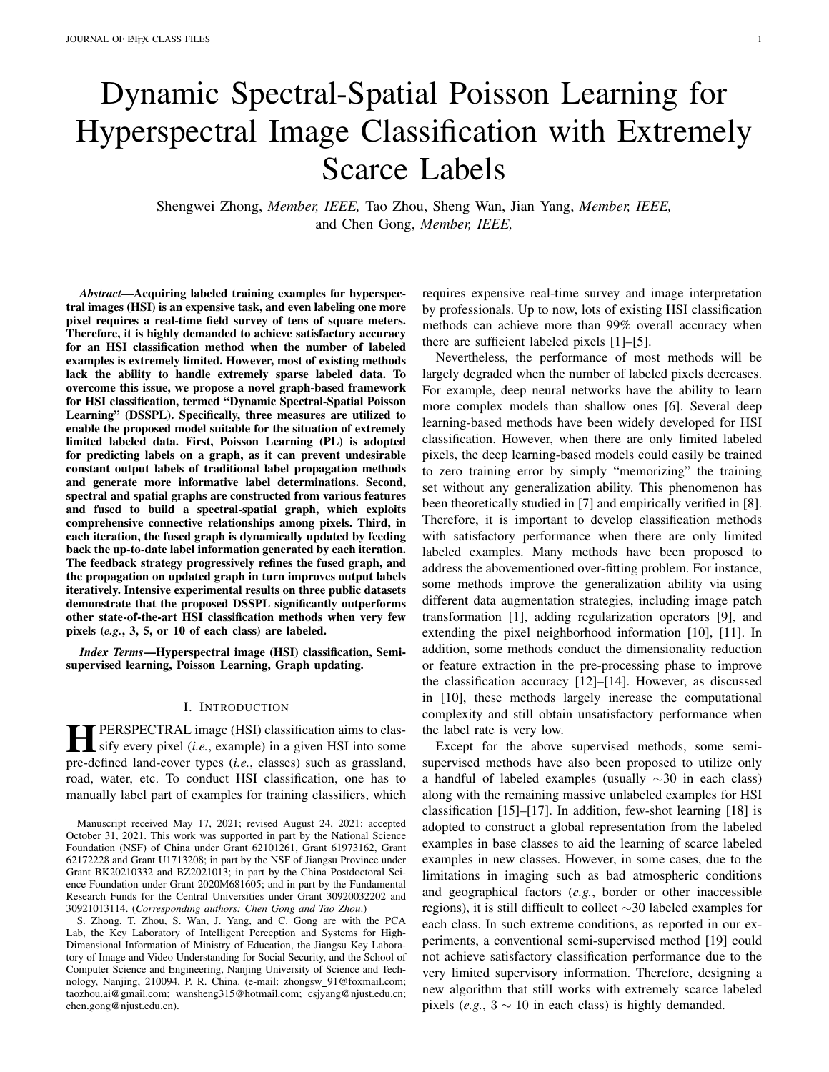TABLE II PER CLASS ACCURACIES, AAS, OAS, AND KAPPA COEFFICIENTS OFDIFFERENTMETHODS ON THEINDIAN PINES DATASET WITH 5 TRAINING EXAMPLES OFEACH CLASS.

| class     | SVM [61]            | <b>CNN-PPF [10]</b> | <b>GFHF [64]</b>    | PL [22]                            | FSS [62]                          | <b>SGL [29]</b>                    | STSDEWLR [63]       | <b>DSSPL</b>                       |
|-----------|---------------------|---------------------|---------------------|------------------------------------|-----------------------------------|------------------------------------|---------------------|------------------------------------|
|           | $0.8848 \pm 0.0503$ | $0.6610+0.4565$     | $0.8609 \pm 0.0092$ | $0.9130\pm0.0939$                  | $0.7715 \pm 0.2624$               | $0.9652 \pm 0.0174$                |                     | $0.9848 \pm 0.0.999913 \pm 0.0052$ |
| 2         | $0.2759 + 0.0820$   | $0.0806 \pm 0.0661$ | $0.5564 \pm 0.1059$ | $0.4863 \pm 0.11668388 \pm 0.1671$ |                                   | $0.4856 \pm 0.0666$                | $0.4791 \pm 0.1938$ | $0.7078 \pm 0.1223$                |
| 3         | $0.3899 + 0.1103$   | $0.0856 \pm 0.0720$ | $0.5141 \pm 0.1133$ | $0.4592 \pm 0.1468$                | $0.7759 + 0.1931$                 | $0.5749 \pm 0.1588$                |                     | $0.6425 \pm 0.0000329 \pm 0.1365$  |
| 4         | $0.5586 \pm 0.1462$ | $0.5746 \pm 0.4312$ | $0.7460 \pm 0.1827$ | $0.8468 \pm 0.1410$                | $0.7965 \pm 0.2227$               | $0.8384\pm0.1181$                  |                     | $0.8350 \pm 0.0765540 \pm 0.1922$  |
| 5         | $0.6031 \pm 0.1702$ | $0.0720 \pm 0.1228$ | $0.7714 \pm 0.0831$ | $0.7979 \pm 0.0963$                | $0.6907 \pm 0.3308$               | $0.8110\pm0.0896$                  |                     | $0.8025 \pm 0.095370 \pm 0.0941$   |
| 6         | $0.7207 \pm 0.1287$ | $0.2265 \pm 0.2612$ | $0.7011 \pm 0.1765$ | $0.8192 \pm 0.1276$                | $0.8138 \pm 0.2669$               | $0.8301 \pm 0.12006116 \pm 0.1366$ |                     | $0.8940\pm0.1971$                  |
| 7         | $0.9286 \pm 0.0238$ | $0.4435 \pm 0.3174$ | $0.9714 \pm 0.0151$ | $0.9429 \pm 0.0811$                | $0.7264 \pm 0.3080$               | $0.9679 \pm 0.0107$                |                     | $0.9786 \pm 0.0199921 \pm 0.0189$  |
| 8         | $0.7144 \pm 0.0947$ | $0.5476 \pm 0.3179$ | $0.9920 \pm 0.0057$ | $0.9973 \pm 0.0043$                | $0.9129 \pm 0.1154$               | $0.9969 \pm 0.0059994 \pm 0.0010$  |                     | $0.9987 + 0.0011$                  |
| 9         | $0.8750 \pm 0.1007$ | $0.5800 \pm 0.4445$ | $0.9525 \pm 0.0368$ | $0.8647 \pm 0.0787$                | $0.6610 \pm 0.4840000 \pm 0.0000$ |                                    | $0.9900 \pm 0.0316$ | $0.9900 \pm 0.0316$                |
| 10        | $0.4840\pm0.1594$   | $0.3065 \pm 0.2118$ | $0.7213 \pm 0.1368$ | $0.7267 \pm 0.1522$                | $0.7508 \pm 0.1868$               | $0.8110\pm0.0833$                  |                     | $0.6989 \pm 0.233748 \pm 0.2131$   |
| 11        | $0.3906 \pm 0.1404$ | $0.2621 \pm 0.1825$ | $0.6360 + 0.0879$   | $0.6475 \pm 0.07025042 \pm 0.0508$ |                                   | $0.6610\pm0.1068$                  | $0.8329 \pm 0.1925$ | $0.8290\pm0.1099$                  |
| 12        | $0.3745 \pm 0.0927$ | $0.0954\pm0.0771$   | $0.6440 \pm 0.1784$ | $0.6125 \pm 0.17007921 \pm 0.2153$ |                                   | $0.6857 \pm 0.1333$                | $0.7764 \pm 0.1543$ | $0.7248 + 0.1270$                  |
| 13        | $0.9254 \pm 0.0435$ | $0.6010\pm0.4274$   | $0.8951 \pm 0.0000$ | $0.9906 \pm 0.0015$                | $0.8855 \pm 0.1820$               | $0.9951 \pm 0.0000$                |                     | $0.9951 \pm 0.009951 \pm 0.0000$   |
| 14        | $0.6917 \pm 0.1135$ | 0.7606±0.2984       | $0.7324 \pm 0.1355$ | $0.8283 \pm 0.1297$                | $0.7483 + 0.2947$                 | $0.8603 \pm 0.1060$                |                     | $0.8304 \pm 0.0937$ 11 2 ± 0.1187  |
| 15        | $0.2803 \pm 0.0653$ | $0.4328 \pm 0.2344$ | $0.7554\pm0.0972$   | $0.7902 \pm 0.1310$                | $0.6480 + 0.3557$                 | 0.8166±0.0777                      |                     | $0.8728 \pm 0.028806 \pm 0.1173$   |
| 16        | $0.8903 \pm 0.0433$ | $0.9000 \pm 0.0970$ | $0.8903 \pm 0.0034$ | $0.9892\pm0.0000$                  | $0.8963 \pm 0.1414$               | $0.9806 \pm 0.0065$                |                     | $0.9514 \pm 0.009953 \pm 0.0034$   |
| AA        | $0.5276 \pm 0.0489$ | $0.4144 \pm 0.1913$ | $0.7057 \pm 0.0221$ | $0.8033\pm0.0183$                  | 0.7883±0.2071                     | $0.8300 \pm 0.0244$                |                     | $0.8576 \pm 0.00397502 \pm 0.0312$ |
| <b>OA</b> | $0.4879 \pm 0.0355$ | $0.3087 + 0.1396$   | $0.6499 + 0.0273$   | $0.7060 \pm 0.0356$                | $0.8142 \pm 0.0112$               | $0.7270 \pm 0.0393$                |                     | $0.8052 \pm 0.0535691 \pm 0.0484$  |
| Kappa     | $0.4310+0.0355$     | $0.2488 \pm 0.1193$ | $0.6641 \pm 0.0301$ | $0.6592 \pm 0.0395$                | $0.8028 \pm 0.0127$               | $0.6940\pm0.0411$                  |                     | $0.7868 \pm 0$ @ 6432 $\pm 0.0535$ |

Fig. 5. Groundtruth map and classi cation maps on the Indian Pines dataset using 5 training examples of each class produced by eight classi cation methods.

best performance with 10 labeled pixels of each class on the Indian Pines dataset, our DSSPL also obtains the competitive performance and outperforms other methods by a large margin. Overall, the proposed DSSPL performs better than existing HSI classi cation methods in the situation of the small-sized labeled examples.

The proposed DSSPL achieves the competitive performance and outperforms most of the compared methods in the situation of 30 labeled pixels of each class. Although FSS achieves the highest accuracies on the Indian Pines and University of Pavia datasets, our DSSPL still ranks the second place and performs better than other methods. On the other hand, DSSPL ranks the rst place over all

compared methods on the Salinas dataset. This could be interpreted by the characteristics of the three datasets. It is noted that when utilizing the same amount of labeled examples, the performance of OA is higher on the Salinas dataset than on the other two datasets. This indicates that the Salinas is an "easier" dataset than the other two datasets. It can be also observed that the Indian Pines and University of Pavia datasets contain underlying "more complex" data structure than Salinas. In this circumstance, over-segmentation will lose more information than independent treatment over every pixel. Therefore, superpixel-based DSSPL could perform worse than pixel-wise FSS when there are relatively abundant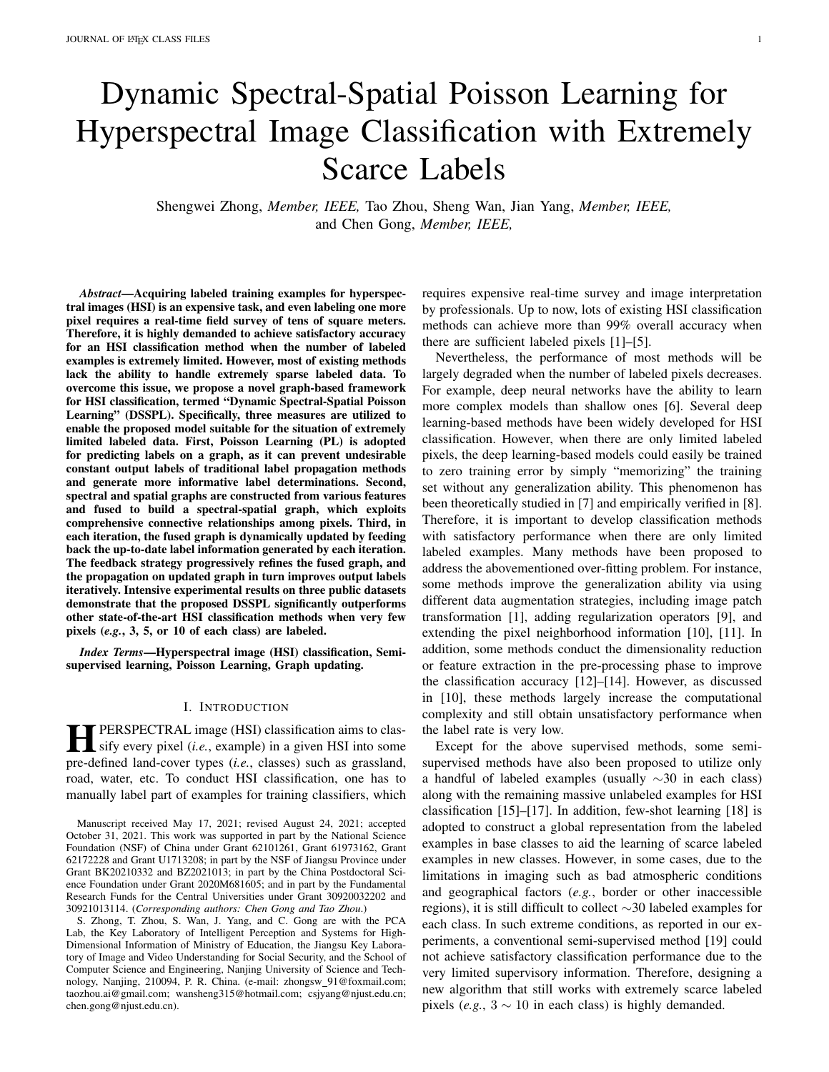TABLE III PER CLASS ACCURACIES, AAS, OAS, AND KAPPA COEFFICIENTS OFDIFFERENTMETHODS ON THESALINAS DATASET WITH 5 TRAINING EXAMPLES OF EACH CLASS.

| class          | SVM [61]            | CNN-PPF [10]        | GFHF [19]           | PL [22]             | <b>FSS [62]</b>                  | <b>SGL [29]</b>                    | STSDEWLR [63]       | <b>DSSPL</b>                        |  |
|----------------|---------------------|---------------------|---------------------|---------------------|----------------------------------|------------------------------------|---------------------|-------------------------------------|--|
| 1              | $0.9719 \pm 0.0130$ | $0.7510+0.4070$     | $0.9985 \pm 0.0000$ | $0.9985 \pm 0.0000$ | $0.9370+0.0951$                  | $0.9905 \pm 0.0240$                |                     | $1.0000 \pm 0.0000000 \pm 0.0000$   |  |
| $\overline{2}$ | $0.9159 \pm 0.1016$ | $0.5708 \pm 0.4024$ | 0.9888±0.0062       | $0.9606 \pm 0.0457$ | $0.9679 \pm 0.0348$              | 0.9786±0.0166                      |                     | $1.0000 \pm 0.0000000 \pm 0.0000$   |  |
| 3              | $0.8261 \pm 0.1421$ | $0.2613 \pm 0.4114$ | $0.9958\pm0.0033$   | 1.0000±0.0000       | $1.0000 \pm 0.0000$              | $0.9613 \pm 0.0810$                |                     | $1.0000 \pm 0.0000000 \pm 0.0000$   |  |
| 4              | $0.9907 \pm 0.0039$ | $0.1148 \pm 0.3015$ | $0.9753 \pm 0.0247$ | $0.9799 \pm 0.0068$ | $0.9625 \pm 0.0618$              | $0.9799 + 0.0065$                  | $0.8911 \pm 0.2440$ | $0.9714 \pm 0.0778$                 |  |
| 5              | $0.9077 \pm 0.0706$ | $0.3869 \pm 0.4996$ | $0.9585\pm0.0600$   | $0.9599 \pm 0.0289$ | $0.9814\pm0.0273$                | $0.9677 \pm 0.02499942 \pm 0.0019$ |                     | $0.9564 \pm 0.0378$                 |  |
| 6              | $0.9759 \pm 0.0127$ | $0.7805 \pm 0.4120$ | $0.9942\pm0.0000$   | $0.9942\pm0.0000$   | $0.9655 \pm 0.0414$              | $0.9948 \pm 0.0017$                |                     | $0.9887 \pm 0.0399981 \pm 0.0004$   |  |
| 7              | $0.9824\pm0.0160$   | $0.3983\pm0.3579$   | $0.9971 \pm 0.0019$ | $0.9961 \pm 0.0027$ | $0.9439 \pm 0.033960 \pm 0.0038$ |                                    | $0.8517 \pm 0.1988$ | $0.9884\pm0.0113$                   |  |
| 8              | $0.5439+0.1453$     | $0.2916 \pm 0.3459$ | $0.9048 \pm 0.0457$ | $0.8592 \pm 0.0343$ | $0.9093 \pm 0.0854$              | $0.8836\pm0.0659$                  |                     | $0.9517 \pm 0.0495686 \pm 0.0452$   |  |
| 9              | $0.9493 \pm 0.0114$ | $0.7770 \pm 0.4097$ | $0.9991 \pm 0.0004$ | $0.9495 \pm 0.0733$ | $0.9162 \pm 0.0913$              | $0.9802 \pm 0.0280000 \pm 0.0000$  |                     | $0.9985\pm0.0046$                   |  |
| 10             | $0.6873 \pm 0.0931$ | $0.1750\pm0.2060$   | $0.7322 \pm 0.0510$ | 0.7729±0.0792       | $0.9439 \pm 0.0675$              | $0.7939 + 0.0901$                  |                     | $0.8883 \pm 0.0253346 \pm 0.0771$   |  |
| 11             | $0.8460 \pm 0.1069$ | $0.2826 \pm 0.3331$ | $0.9562 \pm 0.0099$ | $0.9522 \pm 0.0059$ | $0.9516 \pm 0.0428$              | $0.9355 \pm 0.0440$                |                     | $0.9326 \pm 0.035583 \pm 0.0435$    |  |
| 12             | $0.9524 \pm 0.0402$ | $0.2534 \pm 0.2426$ | 1.0000±0.0000       | $0.9485 \pm 0.0397$ | 1.0000±0.0000                    | $1.0000 \pm 0.0000$                |                     | $1.0000 \pm 0.000000 \pm 0.0000$    |  |
| 13             | $0.9798 \pm 0.0158$ | $0.6232 \pm 0.4727$ | $0.9771 \pm 0.0000$ | 0.9796±0.0148       | $0.9780 \pm 0.0359$              | $0.9781 \pm 0.0029$                | $0.9152 \pm 0.1527$ | 0.9028+0.1450                       |  |
| 14             | $0.8823 \pm 0.0519$ | $0.5114\pm0.3886$   | $0.9407 \pm 0.0135$ | $0.9062 \pm 0.0603$ | 0.9488±0.0542                    | $0.9149 \pm 0.0437$                |                     | $0.9600 \pm 0.029621 \pm 0.0264$    |  |
| 15             | $0.6401 \pm 0.1260$ | $0.0334\pm0.0607$   | $0.9266 \pm 0.0408$ | $0.9603 \pm 0.0425$ | $0.9313\pm0.0620$                | $0.9670\pm0.0315$                  |                     | $0.9783 \pm 0.029797 \pm 0.0235$    |  |
| 16             | $0.8345 \pm 0.1022$ | $0.3582 \pm 0.3672$ | $0.9792 \pm 0.0028$ | $0.9956 \pm 0.0047$ | $0.9514\pm0.0314$                | $0.9904 \pm 0.0174$                |                     | $1.0000 \pm 0.000000 \pm 0.0000$    |  |
| AA             | $0.8679 \pm 0.0139$ | $0.4106 \pm 0.2100$ | $0.9590\pm0.0065$   | $0.9508 \pm 0.0130$ | $0.9556 \pm 0.0518$              | $0.9570\pm0.0072$                  |                     | $0.9595 \pm 0.0496847 \pm 0.0220$   |  |
| OA             | $0.7981 \pm 0.0267$ | $0.3943 \pm 0.2196$ | $0.9473 \pm 0.0100$ | $0.9347 \pm 0.0129$ | $0.9549 \pm 0.0074$              | $0.9469 \pm 0.0122$                |                     | $0.9630\pm0.0396975\pm0.0178$       |  |
| Kappa          | $0.7764 \pm 0.0291$ | $0.3499 \pm 0.2210$ | $0.9414\pm0.0111$   | $0.9276 \pm 0.0142$ | $0.9498 \pm 0.0082$              | $0.9411 \pm 0.0135$                |                     | $0.9589 \pm 0$ $0.95838 \pm 0.0199$ |  |
|                |                     |                     |                     |                     |                                  |                                    |                     |                                     |  |

Fig. 6. Groundtruth map and classi cation maps on the Salinas dataset using 5 training examples of each class produced by eight classi cation methods.

labeled examples. Besides, DSSPL yields a higher OE, Parameter Sensitivity

AA, and kappa coef cient than SGL and STSENVLR that are designed for HSI classi cation problem under the classi cation performance to different experimental small-sized labeled data. Therefore, the results indicate the state of our DSSPL. Fig. 9 shows the OAs of our DSSPL the effectiveness and stability of the proposed DSSPL with respect to the different numbers of superpixels n the In this experiment, we will evaluate the parameter sensitivity

three datasets. From the curves presented in Fig. 9, it can be seen that OA increases when the number of superpixels ( N ) varies from 200 to 1400 on the Indian Pines and Salinas datasets, and we can obtain satisfactory performance with 1400

# D. Convergence Analysis

Fig. 8 demonstrates the convergence curves of the proposuperpixels on the two datasets. Besides, for the University of DSSPL on all used datasets. Speci cally, we plot the stopping wia dataset, OA starts to uctuate after reaches about criteriae in each iteration, in whicle is de ned as the percent-2200. Thus, in our experiment, is set to 1400 for both the age of changed classi cation area comparing the classi catidndian Pines and Salinas datasets, and 2200 for the University map in this iteration to the one in the last iteration. It canf Pavia dataset.

be observed that the valueedecreases when the number of Fig. 10 exhibits the OAs of the proposed DSSPL with iterationsn<sup>iter</sup> increases on all three datasets, and our modespect to different values of the coef cientsand . Here, converges in about 6-13 iterations. Therefore, this is provede report the average results over ten repetitions. From the that the proposed DSSPL converges within a small numberresults in Fig. 10, it can be observed that we obtain stable iterations. OA performance,i.e., higher than 80% for the Indian Pines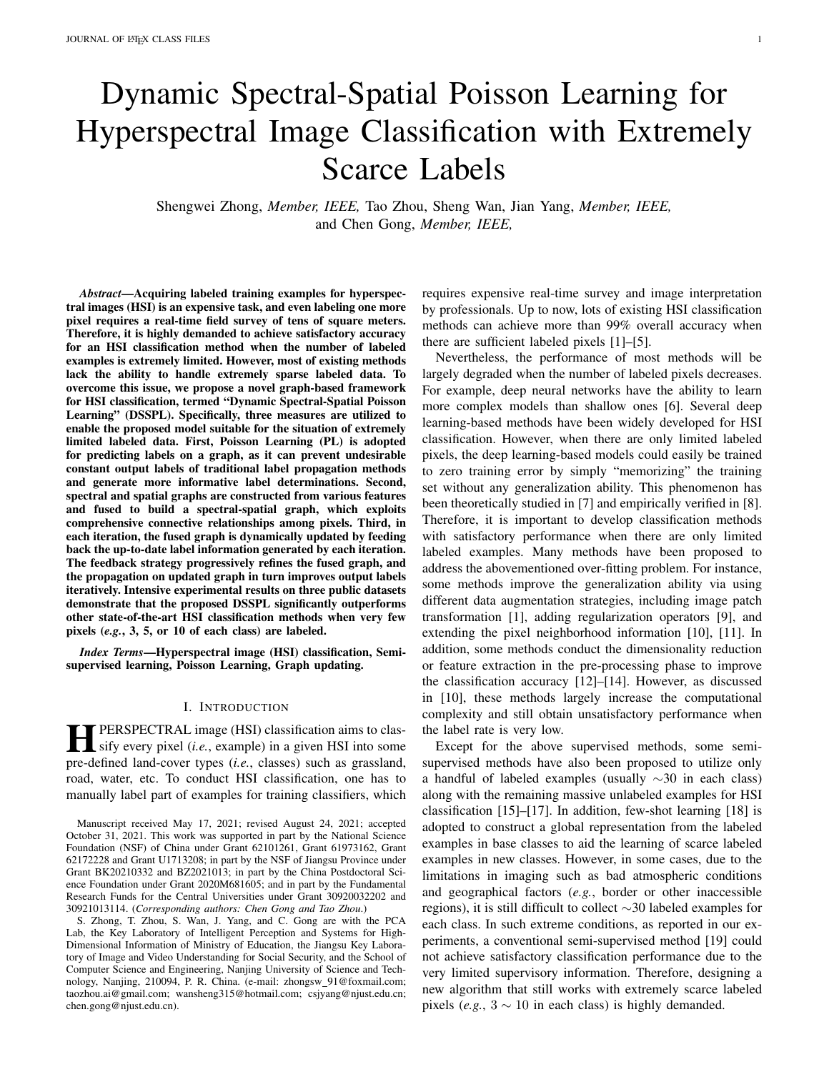TABLE IV PER CLASS ACCURACIES, AAS, OAS, AND KAPPA COEFFICIENTS OFDIFFERENTMETHODS ON THEUNIVERSITY OF PAVIA DATASET WITH 5 TRAINING EXAMPLES OFEACH CLASS.

| class | SVM [61]            | <b>CNN-PPF [10]</b> | <b>GFHF [19]</b>    | PL [22]                           | <b>FSS [62]</b>                   | <b>SGL [29]</b>     | STSEWLR [63]                    | <b>DSSPL</b>                      |
|-------|---------------------|---------------------|---------------------|-----------------------------------|-----------------------------------|---------------------|---------------------------------|-----------------------------------|
|       | $0.6662 \pm 0.0718$ | $0.7414 \pm 0.0653$ | $0.7078 \pm 0.0608$ | $0.7450+0.0576$                   | $0.7000+0.1787$                   | $0.8013 \pm 0.0912$ |                                 | $0.7769 + 0.049072 + 0.0749$      |
| 2     | $0.5282 \pm 0.1606$ | $0.4258 + 0.0459$   | $0.7907 + 0.1194$   | $0.7905 \pm 0.1154$               | $0.7947 \pm 0.0826$               | $0.8080+0.0585$     |                                 | $0.8225 \pm 0.003273 \pm 0.0509$  |
| 3     | $0.5264 \pm 0.1406$ | $0.7805 \pm 0.1541$ | $0.9795 \pm 0.0257$ | $0.9123 \pm 0.0598$               | $0.9506 \pm 0.1009986 \pm 0.0019$ |                     | $0.9812 \pm 0.0243$             | $0.9524 \pm 0.3424$               |
| 4     | $0.6227 \pm 0.1229$ | $0.9143 \pm 0.0246$ | $0.5192 \pm 0.1345$ | $0.5348 + 0.0955$                 | $0.3285 \pm 0.1200$               | $0.6478 \pm 0.1248$ |                                 | $0.5944 \pm 0.062283 \pm 0.0610$  |
| 5     | $0.9659 \pm 0.0580$ | $0.9937+0.0044$     | $0.8871 \pm 0.0026$ | $0.8695 \pm 0.0286$               | $0.9547 \pm 0.0749$               |                     | $0.9680\pm0.000000054\pm0.0050$ | $0.9631 + 0.0300$                 |
| 6     | $0.5730+0.1285$     | $0.4460 \pm 0.0646$ | $0.9676 \pm 0.0309$ | $0.9337+0.0861$                   | $0.9738 + 0.0194$                 | $0.7775 \pm 0.0851$ |                                 | $0.9774 \pm 0.0299229 \pm 0.0003$ |
|       | $0.8474 \pm 0.0838$ | $0.9362 + 0.0268$   | $0.8754 \pm 0.0631$ | $0.8759 \pm 0.0178$               | $0.9967 \pm 0.0000000 \pm 0.0000$ |                     | $0.8842 \pm 0.0958$             | $0.8806 \pm 0.3001$               |
| 8     | $0.6559+0.1267$     | $0.7063 \pm 0.1303$ | $0.8463 \pm 0.1587$ | $0.8798 \pm 0.1598772 \pm 0.0276$ |                                   | $0.7773 \pm 0.1492$ | $0.7512 \pm 0.0140$             | $0.8329+0.1557$                   |
| 9     | $0.9982 \pm 0.0013$ | $0.9843 \pm 0.0107$ | $0.9860+0.0062$     | $0.9989 + 0.0000$                 | $0.3041 \pm 0.1080$               | $0.9989 + 0.0000$   |                                 | $0.9989 \pm 0.0099989 \pm 0.0000$ |
| AA    | $0.7315 \pm 0.0261$ | $0.7698 + 0.0173$   | $0.7744 \pm 0.0233$ | $0.8078 \pm 0.0327$               | $0.8378 \pm 0.0330$               | $0.8653 + 0.0698$   |                                 | $0.8769 \pm 0.0489337 \pm 0.0507$ |
| OA    | $0.6209 + 0.0588$   | $0.5996 \pm 0.0189$ | $0.7252 \pm 0.0520$ | $0.7151 \pm 0.0451$               | $0.8039+0.0449$                   | $0.8569 + 0.0368$   |                                 | $0.8302 + 0.039874 + 0.0231$      |
| Kappa | $0.5335+0.0583$     | $0.5213 \pm 0.0202$ | $0.7774 \pm 0.0621$ | $0.7641 \pm 0.0521$               | $0.7774 \pm 0.0540$               | $0.7608 + 0.0300$   |                                 | $0.7884 \pm 0$ $0.05 \pm 0.0286$  |

Fig. 7. Groundtruth map and classi cation maps on the University of Pavia dataset using 5 training examples of each class produced by eight classi cation methods.

and University of Pavia datasets, and higher than 90% fpropagation, dynamic graph fusion, and feedback strategy. the Salinas dataset, with respect to f 0:05; 0:1; 0:15; 0:2g To verify the effectiveness of the three key components, we and 2 f 0:001; 0:01; 0:1g. It suggests that the classi cationcompare the proposed DSSPL with different models in this performance is not very sensitive to the two hyperparameters. Study. These compared models include: 1) Dynamic In this study, the coef cient is set to 0.01 for both the Indian Spectral-Spatial GFHF (D-SS-GFHF), where GFHF is used Pines and University of Pavia datasets, 0.001 for the Salinastead of PL with the same dynamic spectral-spatial graph dataset, and is set to 0.1 for all three datasets. fusion and feedback strategy; 2) Dynamic Spectral PL (D-

## F. Ablation Study

Spec-PL), in which PL is conducted on a single spectral graph with the feedback strategy; 3) Dynamic Spatial PL (D-Spat-

The proposed DSSPL consists of three key components RHz), in which PL is conducted on a single spatial graph improving HSI classi cation performancee, PL-based label with the feedback strategy; 4) Spectral-Spatial PL (SS-PL),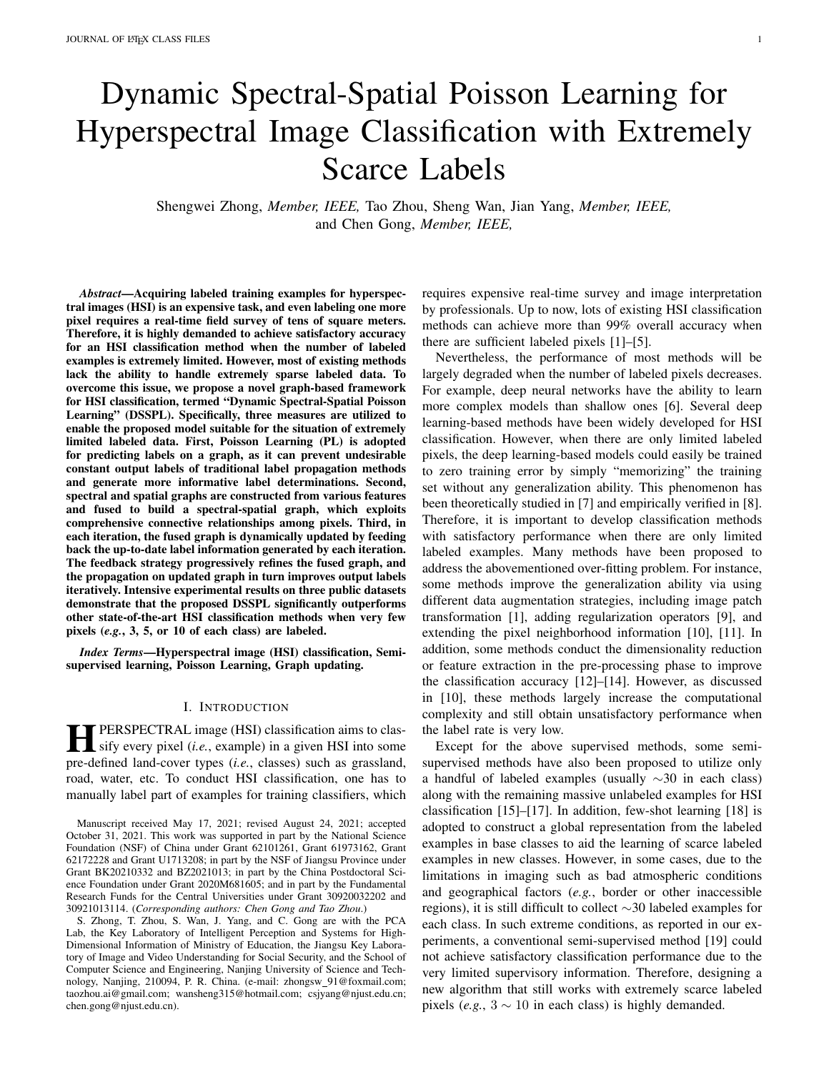TABLE V

OAS OFDIFFERENTMETHODS ON THEINDIAN PINES, SALINAS AND UNIVERSITY OF PAVIA DATASETS WITH DIFFERENTNUMBERS OFTRAINING EXAMPLES OF EACH CLASS n<sup>tr</sup>.

|                           | $n^{tr}$ | <b>SVM [61]</b>     | CNN-PPF [10]                                                                                                | GFHF [19]                                                                                                         | PL [22] | <b>FSS [62]</b>                                                         | SGL [29] | STSEWLR [63]        | <b>DSSPL</b>                    |
|---------------------------|----------|---------------------|-------------------------------------------------------------------------------------------------------------|-------------------------------------------------------------------------------------------------------------------|---------|-------------------------------------------------------------------------|----------|---------------------|---------------------------------|
| Indian Pines              | 3        | 0.4062+0.1053       | $0.2169 \pm 0.1122$                                                                                         |                                                                                                                   |         | $0.6056\pm0.0561$ $0.6251\pm0.0718$ $0.7043\pm0.0245$ $0.6882\pm0.0845$ |          |                     | $0.7514 + 0.09974 + 0.0514$     |
|                           | 5        | 0.4879+0.0355       | 0.3087+0.1396                                                                                               | $0.6499\pm0.0273$ $0.7060\pm0.0356$ $0.8142\pm0.0112$ $0.7270\pm0.0393$                                           |         |                                                                         |          |                     | $0.8052 + 0.8598 + 0.0484$      |
|                           | 10       | $0.5562 + 0.0349$   |                                                                                                             | $0.6132 \pm 0.0435$ $0.7125 \pm 0.0315$ $0.7238 \pm 0.0367$ $0.8691 \pm 0.0126$ $0.7695 \pm 0.0202829 \pm 0.0217$ |         |                                                                         |          |                     | $0.8810+0.0359$                 |
|                           |          |                     | $30/15$ 0.6939±0.0122 0.7986±0.0139 0.8026±0.0169 0.7948±0.0258666±0.00730.8570±0.0144                      |                                                                                                                   |         |                                                                         |          | $0.9265 \pm 0.0156$ | $0.9433 + 0.0130$               |
| <b>Salinas</b>            | 3        | 0.7091+0.0836       |                                                                                                             | $0.1168 \pm 0.0824$ $0.8124 \pm 0.0716$ $0.8347 \pm 0.6920$ $0.8528 \pm 0.0156$ $0.8831 \pm 0.0597$               |         |                                                                         |          |                     | $0.9259 \pm 0.94988 \pm 0.1240$ |
|                           | 5.       | 0.7981+0.0267       |                                                                                                             | $0.3943\pm0.2196$ $0.9473\pm0.0100$ $0.9347\pm0.0129$ $0.9549\pm0.0074$ $0.9469\pm0.0122$                         |         |                                                                         |          |                     | $0.9630 + 0.9649 + 0.0178$      |
|                           | 10       |                     | $0.8863\pm0.0283$ $0.7765\pm0.0289$ $0.9547\pm0.0245$ $0.9412\pm0.0148$ $0.9789\pm0.0054$ $0.9617\pm0.0107$ |                                                                                                                   |         |                                                                         |          |                     | $0.9745 \pm 0.0799 \pm 0.0164$  |
|                           | 30       | 0.8813+0.0210       |                                                                                                             | $0.9051\pm0.0037$ $0.9723\pm0.0086$ $0.9622\pm0.0050$ $0.9860\pm0.0029$ $0.9695\pm0.0083$                         |         |                                                                         |          |                     | $0.9814 \pm 0.0083 \pm 0.0041$  |
|                           | 3        | $0.5584 \pm 0.0718$ |                                                                                                             | $0.4780\pm0.0359$ $0.7015\pm0.1482$ $0.7098\pm0.0561$                                                             |         | $0.7482 \pm 0.0388$ $0.7581 \pm 0.0892$                                 |          |                     | $0.7931 + 0.8889 + 0.0426$      |
| University<br>οf<br>Pavia | 5        | 0.6209+0.0588       |                                                                                                             | $0.5996\pm0.0189$ $0.7252\pm0.0520$ $0.7151\pm0.0451$                                                             |         | $0.8039 \pm 0.0449$ $0.8569 \pm 0.0368$                                 |          |                     | $0.8302 + 0.8898 + 0.0231$      |
|                           | 10       |                     | 0.6831±0.0648 0.7417±0.0272 0.7524±0.0485 0.7418±0.0659 0.8517±0.0128 0.8826±0.0259                         |                                                                                                                   |         |                                                                         |          |                     | $0.9218 + 0.9244 + 0.0300$      |
|                           | 30       |                     | $0.8130\pm0.0223$ $0.8919\pm0.0154$ $0.8269\pm0.0395$ $0.8325\pm0.0059664\pm0.01310.9234\pm0.0140$          |                                                                                                                   |         |                                                                         |          | $0.9369 + 0.0187$   | $0.9429 \pm 0.0094$             |

\* In the Indian Pines dataset, 15 pixels are selected from Classes 7 and 9 respectively, because they contain less than 30 pixels.

TABLE VI OAS, AAS, AND KAPPA COEFFICIENTS OFDIFFERENTGRAPH UPDATING AND LABEL PROPAGATION METHODS ON THEINDIAN PINES, SALINAS AND UNIVERSITY OF PAVIA DATASETS WITH 5 TRAINING EXAMPLES OF EACH CLASS.

|                           |                   | D-SS-GFHF                                                         | D-Spec-PL                                                     | D-Spat-PL                                                         | SS-PL | <b>DSSPL</b>                                                                                                     |
|---------------------------|-------------------|-------------------------------------------------------------------|---------------------------------------------------------------|-------------------------------------------------------------------|-------|------------------------------------------------------------------------------------------------------------------|
| Indian Pines              | AA<br>OA<br>Kappa | $0.8152 \pm 0.0435$<br>$0.8015 \pm 0.0394$<br>$0.7649 + 0.0398$   | $0.7939+0.0481$<br>$0.7660 + 0.0531$<br>$0.7568 \pm 0.0614$   | $0.8426 \pm 0.0282$<br>$0.8249 + 0.0321$<br>$0.7935 \pm 0.0518$   |       | $0.8012 \pm 0.04588702 \pm 0.0312$<br>$0.7825 \pm 0.06253591 \pm 0.0484$<br>$0.7529 \pm 0.07039332 \pm 0.0535$   |
| Salinas                   | AA<br>OA<br>Kappa | $0.9501 \pm 0.0254$<br>$0.9485 \pm 0.0204$<br>$0.9435 \pm 0.0288$ | $0.9428 + 0.0265$<br>$0.9406 \pm 0.0319$<br>$0.9397 + 0.0281$ | $0.9586 \pm 0.0219$<br>$0.9536+0.0351$<br>$0.9480 + 0.0262$       |       | $0.9551 \pm 0.02$ 679647 $\pm 0.0220$<br>$0.9490 \pm 0.02000675 \pm 0.0178$<br>$0.9411 \pm 0.0279638 \pm 0.0199$ |
| University<br>οf<br>Pavia | AA<br>OA<br>Kappa | $0.8345\pm0.0479$<br>$0.8013 \pm 0.0341$<br>0.7896±0.0382         | $0.8258 + 0.0518$<br>$0.8069 + 0.0465$<br>$0.7912\pm0.0346$   | $0.8691 \pm 0.0620$<br>$0.8507 \pm 0.0422$<br>$0.8349 \pm 0.0395$ |       | $0.8426 \pm 0.07208937 \pm 0.0507$<br>$0.8212 \pm 0.04233674 \pm 0.0231$<br>$0.8110\pm0.0407.8405\pm0.0286$      |

TABLE VII RUNNING TIME COMPARISON (IN SECONDS) AMONG DIFFERENTMETHODS.

|                     | <b>SVM [61]</b> | <b>CNN-PPF [10]</b> | GFHF [19] | PL [22] | <b>FSS [62]</b> | SGL [29] | STSEWLR [63] | DSSPL  |
|---------------------|-----------------|---------------------|-----------|---------|-----------------|----------|--------------|--------|
| Indian Pines        | 4.65            | 1495.12             | 6.00      | 6.18    | 46.30           | 12.43    | 15.26        | 6.25   |
| Salinas             | 6.12            | 1769.52             | 29.83     | 30.10   | 106.27          | 48.06    | 61.49        | 35.89  |
| University of Pavia | 6.85            | 1545.26             | 112.63    | 125.14  | 197.14          | 174.28   | 185.56       | 130.26 |

in which PL is conducted on spectral-spatial fusion graph without the feedback strategy. The settings of hyperparameters are the same with Table I. Table VI shows the comparison results of the ablation study on the three datasets. From the results, it can be observed that DSSPL achieves signi- cant improvements over D-SS-GFHF, which demonstrates the effectiveness of PL in handling the situation of extremely scarce labels. Moreover, DSSPL signi cantly improves the OAs, AAs, and kappa coef cients over D-Spec-PL, D-Spat-PL, and SS-PL models, indicating the effectiveness of our dynamic graph fusion and feedback strategy. Thus, the PLbased label propagation, dynamic graph fusion, and feedback strategy work collaboratively to improve the HSI classi cation performance in our DSSPL.

Fig. 8. Convergence of the proposed DSSPL on the Indian Pines, Salinas, and University of Pavia datasets.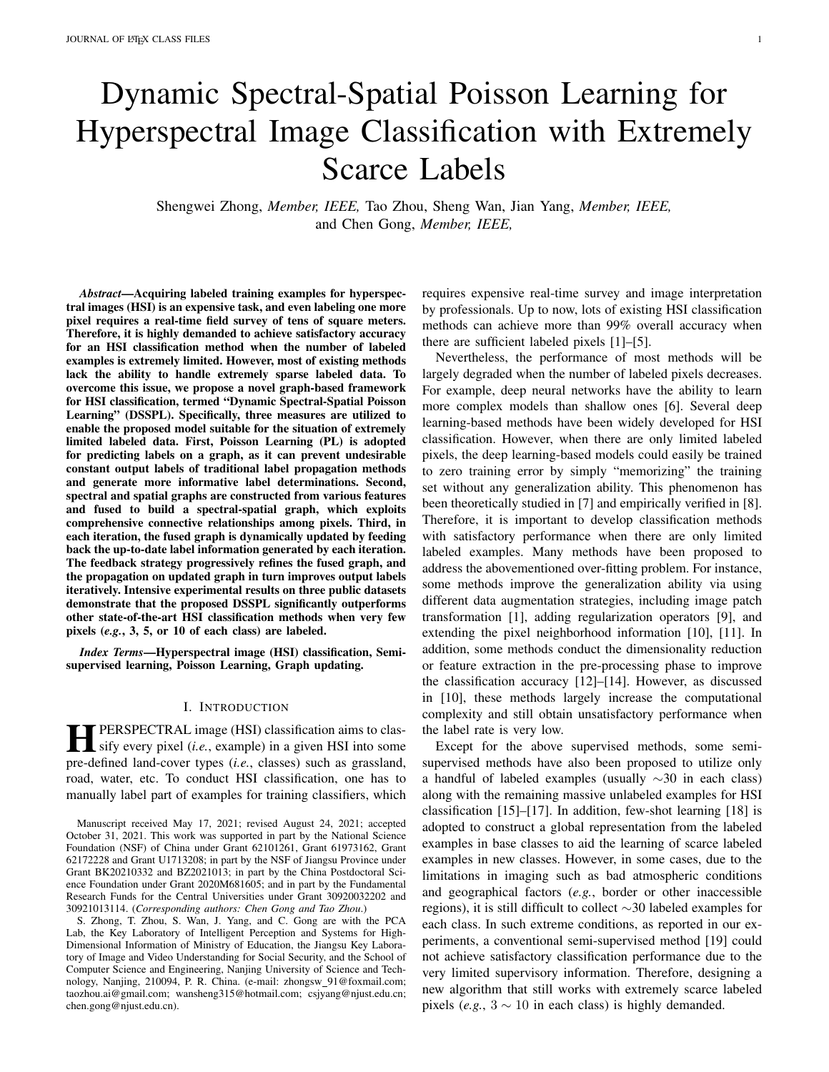

Fig. 9. Sensitivity analysis on the number of superpixels (*i.e.*, N) on the Indian Pines, Salinas and University of Pavia datasets.



Fig. 10. Sensitivity study on the hyperparameters and on the Indian Pines, Salinas, and University of Pavia.

#### *G. Running Time*

To further investigate the efficiency of our DSSPL to the baseline methods, Table VII reports the running time of DSSPL and all the compared methods, where the number of labeled pixels is 5 for each class. Except for the experiments employing CNN-PPF, all the other compared methods were run under the same conditions using an Intel Core i7-9700 CPU and 16 GB of RAM. For CNN-PPF, the running time was reported on a server with a 3.60-GHz Intel Xeon CPU with 264 GB of RAM. Table VII shows that the running time of DSSPL is comparable to the other two traditional graph-based methods, *i.e.*, GFHF and PL, and is significantly less than CNN-PPF, FSS, SGL and STSE DWLR. The high efficiency of our DSSPL is largely due to the superpixel-based graph construction and high convergence speed. Therefore, DSSPL shows both efficacy and efficiency among all the compared methods.

# VI. CONCLUSION

In this paper, we propose a novel DSSPL framework to handle the challenge of extremely limited labeled data in HSI classification. The proposed DSSPL utilizes PL to remove the interference of the average constant output labels caused by extremely scarce examples, which can improve the efficiency of label propagation. Besides, graph fusion is conducted on spectral and spatial graphs to thoroughly describe spectralspatial connective relationship of pixels. Further, the correlation of pixels can be computed using output labels and then fed back to update the fused graph, which comprehensively utilizes all the supervision information from labeled and unlabeled examples. Experimental results on three public datasets show the effectiveness of our proposed DSSPL in handling the situation of extremely scarce labels (*i.e.*, only 3, 5, or 10 pixels are labeled in each class). More importantly, the proposed DSSPL also achieves competitive results when more labeled examples are used in HSI classification.

#### **REFERENCES**

- [1] Y. Chen, Z. Lin, X. Zhao, G. Wang, and Y. Gu, "Deep learning-based classification of hyperspectral data," *IEEE Journal of Selected Topics in Applied Earth Observations and Remote Sensing*, vol. 7, no. 6, pp. 2094–2107, 2014.
- [2] S. K. Roy, G. Krishna, S. R. Dubey, and B. B. Chaudhuri, "HybridSN: Exploring 3-D-2-D CNN feature hierarchy for hyperspectral image classification," *IEEE Geoscience and Remote Sensing Letters*, vol. 17, no. 2, pp. 277–281, 2019.
- [3] X. Mei, E. Pan, Y. Ma, X. Dai, J. Huang, F. Fan, Q. Du, H. Zheng, and J. Ma, "Spectral-spatial attention networks for hyperspectral image classification," *Remote Sensing*, vol. 11, no. 8, p. 963, 2019.
- [4] H. Sun, X. Zheng, X. Lu, and S. Wu, "Spectral-spatial attention network for hyperspectral image classification," *IEEE Transactions on Geoscience and Remote Sensing*, vol. 58, no. 5, pp. 3232–3245, 2019.
- [5] H. Sun, X. Zheng, and X. Lu, "A supervised segmentation network for hyperspectral image classification," *IEEE Transactions on Image Processing*, vol. 30, pp. 2810–2825, 2021.
- [6] Y. Bengio, *Learning deep architectures for AI*. Now Publishers Inc., 2009.
- [7] B. Neyshabur, S. Bhojanapalli, D. McAllester, and N. Srebro, "Exploring generalization in deep learning," *arXiv preprint arXiv:1706.08947*, 2017.
- [8] M. Belkin, D. Hsu, S. Ma, and S. Mandal, "Reconciling modern machine-learning practice and the classical bias–variance trade-off," *Proceedings of the National Academy of Sciences*, vol. 116, no. 32, pp. 15 849–15 854, 2019.
- [9] M. E. Paoletti, J. M. Haut, J. Plaza, and A. Plaza, "A new deep convolutional neural network for fast hyperspectral image classification, *ISPRS Journal of Photogrammetry and Remote Sensing*, vol. 145, pp. 120–147, 2018.
- [10] W. Li, G. Wu, F. Zhang, and Q. Du, "Hyperspectral image classification using deep pixel-pair features," *IEEE Transactions on Geoscience and Remote Sensing*, vol. 55, no. 2, pp. 844–853, 2016.